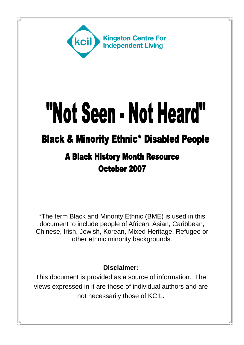

# "Not Seen - Not Heard"

# **Black & Minority Ethnic\* Disabled People**

# **A Black History Month Resource** October 2007

\*The term Black and Minority Ethnic (BME) is used in this document to include people of African, Asian, Caribbean, Chinese, Irish, Jewish, Korean, Mixed Heritage, Refugee or other ethnic minority backgrounds.

#### **Disclaimer:**

This document is provided as a source of information. The views expressed in it are those of individual authors and are not necessarily those of KCIL.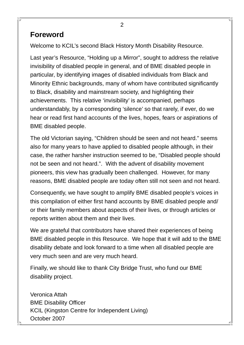#### **Foreword**

Welcome to KCIL's second Black History Month Disability Resource.

Last year's Resource, "Holding up a Mirror", sought to address the relative invisibility of disabled people in general, and of BME disabled people in particular, by identifying images of disabled individuals from Black and Minority Ethnic backgrounds, many of whom have contributed significantly to Black, disability and mainstream society, and highlighting their achievements. This relative 'invisibility' is accompanied, perhaps understandably, by a corresponding 'silence' so that rarely, if ever, do we hear or read first hand accounts of the lives, hopes, fears or aspirations of BME disabled people.

The old Victorian saying, "Children should be seen and not heard." seems also for many years to have applied to disabled people although, in their case, the rather harsher instruction seemed to be, "Disabled people should not be seen and not heard.". With the advent of disability movement pioneers, this view has gradually been challenged. However, for many reasons, BME disabled people are today often still not seen and not heard.

Consequently, we have sought to amplify BME disabled people's voices in this compilation of either first hand accounts by BME disabled people and/ or their family members about aspects of their lives, or through articles or reports written about them and their lives.

We are grateful that contributors have shared their experiences of being BME disabled people in this Resource. We hope that it will add to the BME disability debate and look forward to a time when all disabled people are very much seen and are very much heard.

Finally, we should like to thank City Bridge Trust, who fund our BME disability project.

Veronica Attah BME Disability Officer KCIL (Kingston Centre for Independent Living) October 2007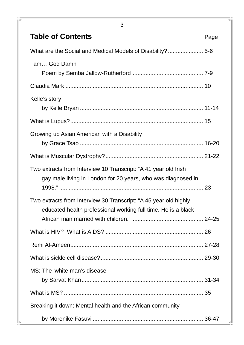| 3<br><b>Table of Contents</b>                                                                                                     | Page |
|-----------------------------------------------------------------------------------------------------------------------------------|------|
|                                                                                                                                   |      |
| I am God Damn                                                                                                                     |      |
|                                                                                                                                   |      |
| Kelle's story                                                                                                                     |      |
|                                                                                                                                   |      |
| Growing up Asian American with a Disability                                                                                       |      |
|                                                                                                                                   |      |
| Two extracts from Interview 10 Transcript: "A 41 year old Irish<br>gay male living in London for 20 years, who was diagnosed in   |      |
| Two extracts from Interview 30 Transcript: "A 45 year old highly<br>educated health professional working full time. He is a black |      |
|                                                                                                                                   |      |
|                                                                                                                                   |      |
|                                                                                                                                   |      |
| MS: The 'white man's disease'                                                                                                     |      |
|                                                                                                                                   |      |
| Breaking it down: Mental health and the African community                                                                         |      |
|                                                                                                                                   |      |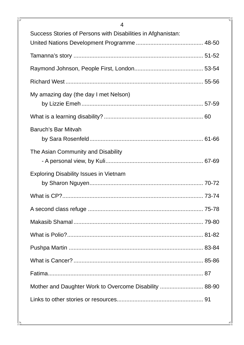| 4                                                            |  |
|--------------------------------------------------------------|--|
| Success Stories of Persons with Disabilities in Afghanistan: |  |
|                                                              |  |
|                                                              |  |
|                                                              |  |
|                                                              |  |
| My amazing day (the day I met Nelson)                        |  |
|                                                              |  |
|                                                              |  |
| Baruch's Bar Mitvah                                          |  |
|                                                              |  |
| The Asian Community and Disability                           |  |
|                                                              |  |
| <b>Exploring Disability Issues in Vietnam</b>                |  |
|                                                              |  |
|                                                              |  |
|                                                              |  |
|                                                              |  |
|                                                              |  |
|                                                              |  |
|                                                              |  |
|                                                              |  |
| Mother and Daughter Work to Overcome Disability  88-90       |  |
|                                                              |  |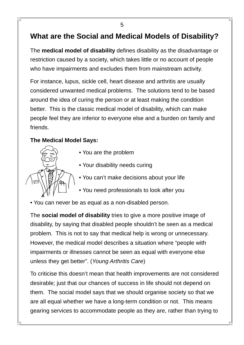## **What are the Social and Medical Models of Disability?**

The **medical model of disability** defines disability as the disadvantage or restriction caused by a society, which takes little or no account of people who have impairments and excludes them from mainstream activity.

For instance, lupus, sickle cell, heart disease and arthritis are usually considered unwanted medical problems. The solutions tend to be based around the idea of curing the person or at least making the condition better. This is the classic medical model of disability, which can make people feel they are inferior to everyone else and a burden on family and friends.

#### **The Medical Model Says:**



- You are the problem
- Your disability needs curing
- You can't make decisions about your life
- You need professionals to look after you

• You can never be as equal as a non-disabled person.

The **social model of disability** tries to give a more positive image of disability, by saying that disabled people shouldn't be seen as a medical problem. This is not to say that medical help is wrong or unnecessary. However, the medical model describes a situation where "people with impairments or illnesses cannot be seen as equal with everyone else unless they get better". (*Young Arthritis Care*)

To criticise this doesn't mean that health improvements are not considered desirable; just that our chances of success in life should not depend on them. The social model says that we should organise society so that we are all equal whether we have a long-term condition or not. This means gearing services to accommodate people as they are, rather than trying to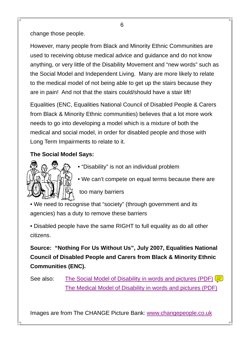change those people.

However, many people from Black and Minority Ethnic Communities are used to receiving obtuse medical advice and guidance and do not know anything, or very little of the Disability Movement and "new words" such as the Social Model and Independent Living. Many are more likely to relate to the medical model of not being able to get up the stairs because they are in pain! And not that the stairs could/should have a stair lift!

Equalities (ENC, Equalities National Council of Disabled People & Carers from Black & Minority Ethnic communities) believes that a lot more work needs to go into developing a model which is a mixture of both the medical and social model, in order for disabled people and those with Long Term Impairments to relate to it.

#### **The Social Model Says:**



- "Disability" is not an individual problem
- We can't compete on equal terms because there are too many barriers

• We need to recognise that "society" (through government and its agencies) has a duty to remove these barriers

• Disabled people have the same RIGHT to full equality as do all other citizens.

**Source: "Nothing For Us Without Us", July 2007, Equalities National Council of Disabled People and Carers from Black & Minority Ethnic Communities (ENC).** 

See also: The Social Model of Disability in words and pictures (PDF)  $\boxed{\equiv}$ The Medical Model of Disability in words and pictures (PDF)

Images are from The CHANGE Picture Bank:<www.changepeople.co.uk>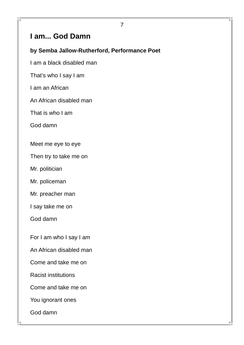#### **I am... God Damn**

#### **by Semba Jallow-Rutherford, Performance Poet**

I am a black disabled man

That's who I say I am

I am an African

An African disabled man

That is who I am

God damn

Meet me eye to eye

Then try to take me on

Mr. politician

Mr. policeman

Mr. preacher man

I say take me on

God damn

For I am who I say I am

An African disabled man

Come and take me on

Racist institutions

Come and take me on

You ignorant ones

God damn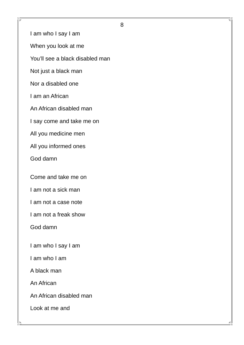I am who I say I am

When you look at me

You'll see a black disabled man

Not just a black man

Nor a disabled one

I am an African

An African disabled man

I say come and take me on

All you medicine men

All you informed ones

God damn

Come and take me on

I am not a sick man

I am not a case note

I am not a freak show

God damn

I am who I say I am

I am who I am

A black man

An African

An African disabled man

Look at me and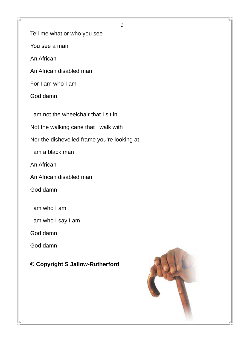Tell me what or who you see

9

You see a man

An African

An African disabled man

For I am who I am

God damn

I am not the wheelchair that I sit in

Not the walking cane that I walk with

Nor the dishevelled frame you're looking at

I am a black man

An African

An African disabled man

God damn

I am who I am

I am who I say I am

God damn

God damn

#### **© Copyright S Jallow-Rutherford**

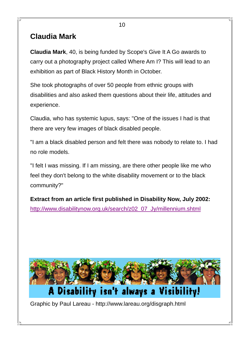## **Claudia Mark**

**Claudia Mark**, 40, is being funded by Scope's Give It A Go awards to carry out a photography project called Where Am I? This will lead to an exhibition as part of Black History Month in October.

She took photographs of over 50 people from ethnic groups with disabilities and also asked them questions about their life, attitudes and experience.

Claudia, who has systemic lupus, says: "One of the issues I had is that there are very few images of black disabled people.

"I am a black disabled person and felt there was nobody to relate to. I had no role models.

"I felt I was missing. If I am missing, are there other people like me who feel they don't belong to the white disability movement or to the black community?"

**Extract from an article first published in Disability Now, July 2002:**  [http://www.disabilitynow.org.uk/search/z02\\_07\\_Jy/millennium.shtml](http://www.disabilitynow.org.uk/search/z02_07_Jy/millennium.shtml)



Graphic by Paul Lareau -<http://www.lareau.org/disgraph.html>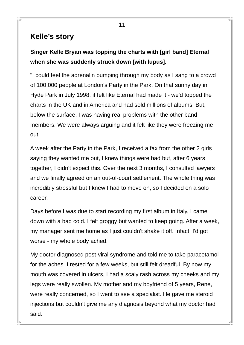## **Kelle's story**

#### **Singer Kelle Bryan was topping the charts with [girl band] Eternal when she was suddenly struck down [with lupus].**

"I could feel the adrenalin pumping through my body as I sang to a crowd of 100,000 people at London's Party in the Park. On that sunny day in Hyde Park in July 1998, it felt like Eternal had made it - we'd topped the charts in the UK and in America and had sold millions of albums. But, below the surface, I was having real problems with the other band members. We were always arguing and it felt like they were freezing me out.

A week after the Party in the Park, I received a fax from the other 2 girls saying they wanted me out, I knew things were bad but, after 6 years together, I didn't expect this. Over the next 3 months, I consulted lawyers and we finally agreed on an out-of-court settlement. The whole thing was incredibly stressful but I knew I had to move on, so I decided on a solo career.

Days before I was due to start recording my first album in Italy, I came down with a bad cold. I felt groggy but wanted to keep going. After a week, my manager sent me home as I just couldn't shake it off. Infact, I'd got worse - my whole body ached.

My doctor diagnosed post-viral syndrome and told me to take paracetamol for the aches. I rested for a few weeks, but still felt dreadful. By now my mouth was covered in ulcers, I had a scaly rash across my cheeks and my legs were really swollen. My mother and my boyfriend of 5 years, Rene, were really concerned, so I went to see a specialist. He gave me steroid injections but couldn't give me any diagnosis beyond what my doctor had said.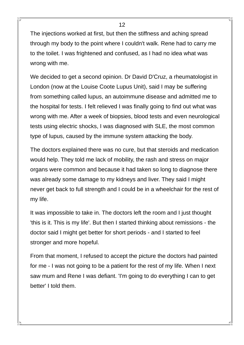The injections worked at first, but then the stiffness and aching spread through my body to the point where I couldn't walk. Rene had to carry me to the toilet. I was frightened and confused, as I had no idea what was wrong with me.

We decided to get a second opinion. Dr David D'Cruz, a rheumatologist in London (now at the Louise Coote Lupus Unit), said I may be suffering from something called lupus, an autoimmune disease and admitted me to the hospital for tests. I felt relieved I was finally going to find out what was wrong with me. After a week of biopsies, blood tests and even neurological tests using electric shocks, I was diagnosed with SLE, the most common type of lupus, caused by the immune system attacking the body.

The doctors explained there was no cure, but that steroids and medication would help. They told me lack of mobility, the rash and stress on major organs were common and because it had taken so long to diagnose there was already some damage to my kidneys and liver. They said I might never get back to full strength and I could be in a wheelchair for the rest of my life.

It was impossible to take in. The doctors left the room and I just thought 'this is it. This is my life'. But then I started thinking about remissions - the doctor said I might get better for short periods - and I started to feel stronger and more hopeful.

From that moment, I refused to accept the picture the doctors had painted for me - I was not going to be a patient for the rest of my life. When I next saw mum and Rene I was defiant. 'I'm going to do everything I can to get better' I told them.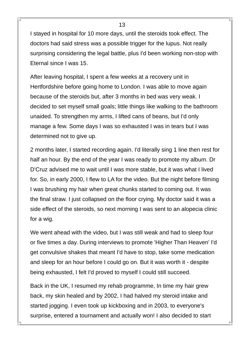I stayed in hospital for 10 more days, until the steroids took effect. The doctors had said stress was a possible trigger for the lupus. Not really surprising considering the legal battle, plus I'd been working non-stop with Eternal since I was 15.

After leaving hospital, I spent a few weeks at a recovery unit in Hertfordshire before going home to London. I was able to move again because of the steroids but, after 3 months in bed was very weak. I decided to set myself small goals; little things like walking to the bathroom unaided. To strengthen my arms, I lifted cans of beans, but I'd only manage a few. Some days I was so exhausted I was in tears but I was determined not to give up.

2 months later, I started recording again. I'd literally sing 1 line then rest for half an hour. By the end of the year I was ready to promote my album. Dr D'Cruz advised me to wait until I was more stable, but it was what I lived for. So, in early 2000, I flew to LA for the video. But the night before filming I was brushing my hair when great chunks started to coming out. It was the final straw. I just collapsed on the floor crying. My doctor said it was a side effect of the steroids, so next morning I was sent to an alopecia clinic for a wig.

We went ahead with the video, but I was still weak and had to sleep four or five times a day. During interviews to promote 'Higher Than Heaven' I'd get convulsive shakes that meant I'd have to stop, take some medication and sleep for an hour before I could go on. But it was worth it - despite being exhausted, I felt I'd proved to myself I could still succeed.

Back in the UK, I resumed my rehab programme, In time my hair grew back, my skin healed and by 2002, I had halved my steroid intake and started jogging. I even took up kickboxing and in 2003, to everyone's surprise, entered a tournament and actually won! I also decided to start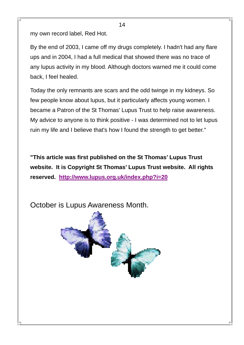my own record label, Red Hot.

By the end of 2003, I came off my drugs completely. I hadn't had any flare ups and in 2004, I had a full medical that showed there was no trace of any lupus activity in my blood. Although doctors warned me it could come back, I feel healed.

Today the only remnants are scars and the odd twinge in my kidneys. So few people know about lupus, but it particularly affects young women. I became a Patron of the St Thomas' Lupus Trust to help raise awareness. My advice to anyone is to think positive - I was determined not to let lupus ruin my life and I believe that's how I found the strength to get better."

**"This article was first published on the St Thomas' Lupus Trust website. It is Copyright St Thomas' Lupus Trust website. All rights reserved. <http://www.lupus.org.uk/index.php?i=20>**

October is Lupus Awareness Month.

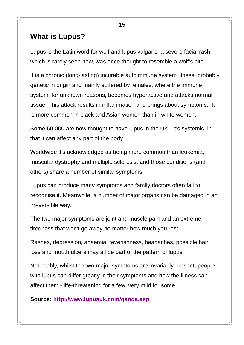## **What is Lupus?**

Lupus is the Latin word for wolf and lupus vulgaris, a severe facial rash which is rarely seen now, was once thought to resemble a wolf's bite.

It is a chronic (long-lasting) incurable autoimmune system illness, probably genetic in origin and mainly suffered by females, where the immune system, for unknown reasons, becomes hyperactive and attacks normal tissue. This attack results in inflammation and brings about symptoms. It is more common in black and Asian women than in white women.

Some 50,000 are now thought to have lupus in the UK - it's systemic, in that it can affect any part of the body.

Worldwide it's acknowledged as being more common than leukemia, muscular dystrophy and multiple sclerosis, and those conditions (and others) share a number of similar symptoms.

Lupus can produce many symptoms and family doctors often fail to recognise it. Meanwhile, a number of major organs can be damaged in an irreversible way.

The two major symptoms are joint and muscle pain and an extreme tiredness that won't go away no matter how much you rest.

Rashes, depression, anaemia, feverishness, headaches, possible hair loss and mouth ulcers may all be part of the pattern of lupus.

Noticeably, whilst the two major symptoms are invariably present, people with lupus can differ greatly in their symptoms and how the illness can affect them - life-threatening for a few, very mild for some.

**Source: <http://www.lupusuk.com/qanda.asp>**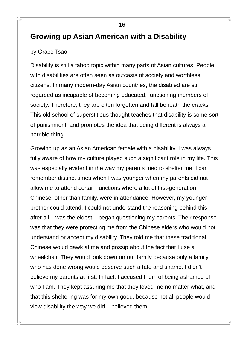#### **Growing up Asian American with a Disability**

#### by Grace Tsao

Disability is still a taboo topic within many parts of Asian cultures. People with disabilities are often seen as outcasts of society and worthless citizens. In many modern-day Asian countries, the disabled are still regarded as incapable of becoming educated, functioning members of society. Therefore, they are often forgotten and fall beneath the cracks. This old school of superstitious thought teaches that disability is some sort of punishment, and promotes the idea that being different is always a horrible thing.

Growing up as an Asian American female with a disability, I was always fully aware of how my culture played such a significant role in my life. This was especially evident in the way my parents tried to shelter me. I can remember distinct times when I was younger when my parents did not allow me to attend certain functions where a lot of first-generation Chinese, other than family, were in attendance. However, my younger brother could attend. I could not understand the reasoning behind this after all, I was the eldest. I began questioning my parents. Their response was that they were protecting me from the Chinese elders who would not understand or accept my disability. They told me that these traditional Chinese would gawk at me and gossip about the fact that I use a wheelchair. They would look down on our family because only a family who has done wrong would deserve such a fate and shame. I didn't believe my parents at first. In fact, I accused them of being ashamed of who I am. They kept assuring me that they loved me no matter what, and that this sheltering was for my own good, because not all people would view disability the way we did. I believed them.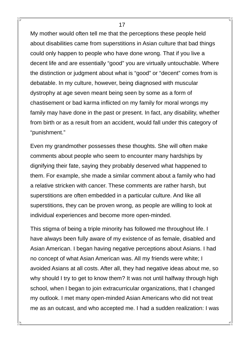My mother would often tell me that the perceptions these people held about disabilities came from superstitions in Asian culture that bad things could only happen to people who have done wrong. That if you live a decent life and are essentially "good" you are virtually untouchable. Where the distinction or judgment about what is "good" or "decent" comes from is debatable. In my culture, however, being diagnosed with muscular dystrophy at age seven meant being seen by some as a form of chastisement or bad karma inflicted on my family for moral wrongs my family may have done in the past or present. In fact, any disability, whether from birth or as a result from an accident, would fall under this category of "punishment."

Even my grandmother possesses these thoughts. She will often make comments about people who seem to encounter many hardships by dignifying their fate, saying they probably deserved what happened to them. For example, she made a similar comment about a family who had a relative stricken with cancer. These comments are rather harsh, but superstitions are often embedded in a particular culture. And like all superstitions, they can be proven wrong, as people are willing to look at individual experiences and become more open-minded.

This stigma of being a triple minority has followed me throughout life. I have always been fully aware of my existence of as female, disabled and Asian American. I began having negative perceptions about Asians. I had no concept of what Asian American was. All my friends were white; I avoided Asians at all costs. After all, they had negative ideas about me, so why should I try to get to know them? It was not until halfway through high school, when I began to join extracurricular organizations, that I changed my outlook. I met many open-minded Asian Americans who did not treat me as an outcast, and who accepted me. I had a sudden realization: I was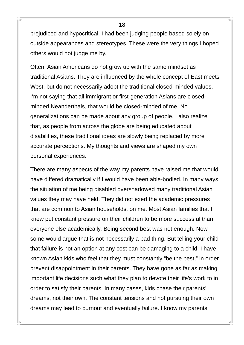prejudiced and hypocritical. I had been judging people based solely on outside appearances and stereotypes. These were the very things I hoped others would not judge me by.

Often, Asian Americans do not grow up with the same mindset as traditional Asians. They are influenced by the whole concept of East meets West, but do not necessarily adopt the traditional closed-minded values. I'm not saying that all immigrant or first-generation Asians are closedminded Neanderthals, that would be closed-minded of me. No generalizations can be made about any group of people. I also realize that, as people from across the globe are being educated about disabilities, these traditional ideas are slowly being replaced by more accurate perceptions. My thoughts and views are shaped my own personal experiences.

There are many aspects of the way my parents have raised me that would have differed dramatically if I would have been able-bodied. In many ways the situation of me being disabled overshadowed many traditional Asian values they may have held. They did not exert the academic pressures that are common to Asian households, on me. Most Asian families that I knew put constant pressure on their children to be more successful than everyone else academically. Being second best was not enough. Now, some would argue that is not necessarily a bad thing. But telling your child that failure is not an option at any cost can be damaging to a child. I have known Asian kids who feel that they must constantly "be the best," in order prevent disappointment in their parents. They have gone as far as making important life decisions such what they plan to devote their life's work to in order to satisfy their parents. In many cases, kids chase their parents' dreams, not their own. The constant tensions and not pursuing their own dreams may lead to burnout and eventually failure. I know my parents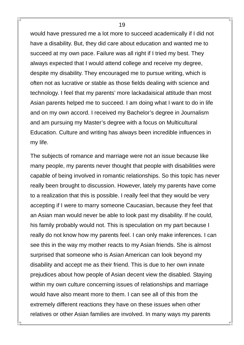would have pressured me a lot more to succeed academically if I did not have a disability. But, they did care about education and wanted me to succeed at my own pace. Failure was all right if I tried my best. They always expected that I would attend college and receive my degree, despite my disability. They encouraged me to pursue writing, which is often not as lucrative or stable as those fields dealing with science and technology. I feel that my parents' more lackadaisical attitude than most Asian parents helped me to succeed. I am doing what I want to do in life and on my own accord. I received my Bachelor's degree in Journalism and am pursuing my Master's degree with a focus on Multicultural Education. Culture and writing has always been incredible influences in my life.

The subjects of romance and marriage were not an issue because like many people, my parents never thought that people with disabilities were capable of being involved in romantic relationships. So this topic has never really been brought to discussion. However, lately my parents have come to a realization that this is possible. I really feel that they would be very accepting if I were to marry someone Caucasian, because they feel that an Asian man would never be able to look past my disability. If he could, his family probably would not. This is speculation on my part because I really do not know how my parents feel. I can only make inferences. I can see this in the way my mother reacts to my Asian friends. She is almost surprised that someone who is Asian American can look beyond my disability and accept me as their friend. This is due to her own innate prejudices about how people of Asian decent view the disabled. Staying within my own culture concerning issues of relationships and marriage would have also meant more to them. I can see all of this from the extremely different reactions they have on these issues when other relatives or other Asian families are involved. In many ways my parents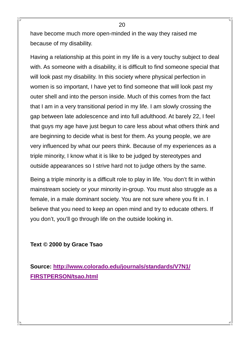have become much more open-minded in the way they raised me because of my disability.

Having a relationship at this point in my life is a very touchy subject to deal with. As someone with a disability, it is difficult to find someone special that will look past my disability. In this society where physical perfection in women is so important, I have yet to find someone that will look past my outer shell and into the person inside. Much of this comes from the fact that I am in a very transitional period in my life. I am slowly crossing the gap between late adolescence and into full adulthood. At barely 22, I feel that guys my age have just begun to care less about what others think and are beginning to decide what is best for them. As young people, we are very influenced by what our peers think. Because of my experiences as a triple minority, I know what it is like to be judged by stereotypes and outside appearances so I strive hard not to judge others by the same.

Being a triple minority is a difficult role to play in life. You don't fit in within mainstream society or your minority in-group. You must also struggle as a female, in a male dominant society. You are not sure where you fit in. I believe that you need to keep an open mind and try to educate others. If you don't, you'll go through life on the outside looking in.

**Text © 2000 by Grace Tsao** 

**[Source: h](http://www.colorado.edu/journals/standards/V7N1/FIRSTPERSON/tsao.html)[ttp://www.colorado.edu/journals/standards/V7N1/](http://www.colorado.edu/journals/standards/V7N1/) FIRSTPERSON/tsao.html**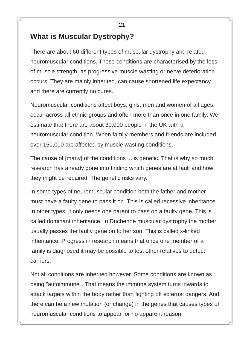#### **What is Muscular Dystrophy?**

There are about 60 different types of muscular dystrophy and related neuromuscular conditions. These conditions are characterised by the loss of muscle strength, as progressive muscle wasting or nerve deterioration occurs. They are mainly inherited, can cause shortened life expectancy and there are currently no cures.

Neuromuscular conditions affect boys, girls, men and women of all ages, occur across all ethnic groups and often more than once in one family. We estimate that there are about 30,000 people in the UK with a neuromuscular condition. When family members and friends are included, over 150,000 are affected by muscle wasting conditions.

The cause of [many] of the conditions ... is genetic. That is why so much research has already gone into finding which genes are at fault and how they might be repaired. The genetic risks vary.

In some types of neuromuscular condition both the father and mother must have a faulty gene to pass it on. This is called recessive inheritance. In other types, it only needs one parent to pass on a faulty gene. This is called dominant inheritance. In Duchenne muscular dystrophy the mother usually passes the faulty gene on to her son. This is called x-linked inheritance. Progress in research means that once one member of a family is diagnosed it may be possible to test other relatives to detect carriers.

Not all conditions are inherited however. Some conditions are known as being "autoimmune". That means the immune system turns inwards to attack targets within the body rather than fighting off external dangers. And there can be a new mutation (or change) in the genes that causes types of neuromuscular conditions to appear for no apparent reason.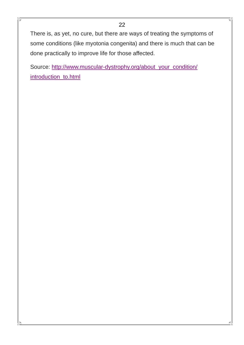There is, as yet, no cure, but there are ways of treating the symptoms of some conditions (like myotonia congenita) and there is much that can be done practically to improve life for those affected.

Source[:](http://www.muscular-dystrophy.org/about_your_condition/introduction_to.html) [http://www.muscular-dystrophy.org/about\\_your\\_condition/](http://www.muscular-dystrophy.org/about_your_condition/) introduction\_to.html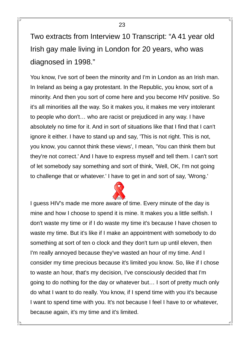Two extracts from Interview 10 Transcript: "A 41 year old Irish gay male living in London for 20 years, who was diagnosed in 1998."

You know, I've sort of been the minority and I'm in London as an Irish man. In Ireland as being a gay protestant. In the Republic, you know, sort of a minority. And then you sort of come here and you become HIV positive. So it's all minorities all the way. So it makes you, it makes me very intolerant to people who don't… who are racist or prejudiced in any way. I have absolutely no time for it. And in sort of situations like that I find that I can't ignore it either. I have to stand up and say, 'This is not right. This is not, you know, you cannot think these views', I mean, 'You can think them but they're not correct.' And I have to express myself and tell them. I can't sort of let somebody say something and sort of think, 'Well, OK, I'm not going to challenge that or whatever.' I have to get in and sort of say, 'Wrong.'



I guess HIV's made me more aware of time. Every minute of the day is mine and how I choose to spend it is mine. It makes you a little selfish. I don't waste my time or if I do waste my time it's because I have chosen to waste my time. But it's like if I make an appointment with somebody to do something at sort of ten o clock and they don't turn up until eleven, then I'm really annoyed because they've wasted an hour of my time. And I consider my time precious because it's limited you know. So, like if I chose to waste an hour, that's my decision, I've consciously decided that I'm going to do nothing for the day or whatever but… I sort of pretty much only do what I want to do really. You know, if I spend time with you it's because I want to spend time with you. It's not because I feel I have to or whatever, because again, it's my time and it's limited.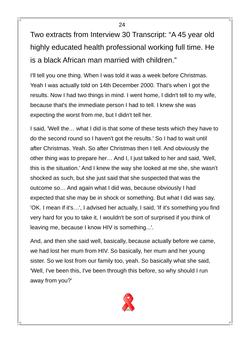Two extracts from Interview 30 Transcript: "A 45 year old highly educated health professional working full time. He is a black African man married with children."

I'll tell you one thing. When I was told it was a week before Christmas. Yeah I was actually told on 14th December 2000. That's when I got the results. Now I had two things in mind. I went home, I didn't tell to my wife, because that's the immediate person I had to tell. I knew she was expecting the worst from me, but I didn't tell her.

I said, 'Well the… what I did is that some of these tests which they have to do the second round so I haven't got the results.' So I had to wait until after Christmas. Yeah. So after Christmas then I tell. And obviously the other thing was to prepare her… And I, I just talked to her and said, 'Well, this is the situation.' And I knew the way she looked at me she, she wasn't shocked as such, but she just said that she suspected that was the outcome so… And again what I did was, because obviously I had expected that she may be in shock or something. But what I did was say, 'OK. I mean if it's…', I advised her actually, I said, 'If it's something you find very hard for you to take it, I wouldn't be sort of surprised if you think of leaving me, because I know HIV is something...'.

And, and then she said well, basically, because actually before we came, we had lost her mum from HIV. So basically, her mum and her young sister. So we lost from our family too, yeah. So basically what she said, 'Well, I've been this, I've been through this before, so why should I run away from you?'

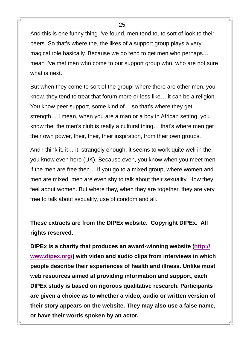And this is one funny thing I've found, men tend to, to sort of look to their peers. So that's where the, the likes of a support group plays a very magical role basically. Because we do tend to get men who perhaps… I mean I've met men who come to our support group who, who are not sure what is next.

But when they come to sort of the group, where there are other men, you know, they tend to treat that forum more or less like… it can be a religion. You know peer support, some kind of… so that's where they get strength… I mean, when you are a man or a boy in African setting, you know the, the men's club is really a cultural thing… that's where men get their own power, their, their, their inspiration, from their own groups.

And I think it, it… it, strangely enough, it seems to work quite well in the, you know even here (UK). Because even, you know when you meet men if the men are free then… If you go to a mixed group, where women and men are mixed, men are even shy to talk about their sexuality. How they feel about women. But where they, when they are together, they are very free to talk about sexuality, use of condom and all.

**These extracts are from the DIPEx website. Copyright DIPEx. All rights reserved.** 

**DIPEx is a charity that produces an award-winning website (http:// [www.dipex.org/\) with video and audio clips from interviews in whic](http://www.dipex.org/)h people describe their experiences of health and illness. Unlike most web resources aimed at providing information and support, each DIPEx study is based on rigorous qualitative research. Participants are given a choice as to whether a video, audio or written version of their story appears on the website. They may also use a false name, or have their words spoken by an actor.**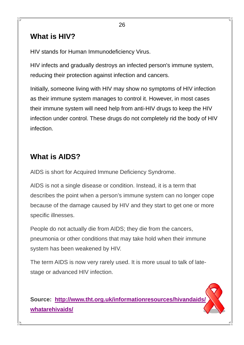## **What is HIV?**

HIV stands for Human Immunodeficiency Virus.

HIV infects and gradually destroys an infected person's immune system, reducing their protection against infection and cancers.

Initially, someone living with HIV may show no symptoms of HIV infection as their immune system manages to control it. However, in most cases their immune system will need help from anti-HIV drugs to keep the HIV infection under control. These drugs do not completely rid the body of HIV infection.

## **What is AIDS?**

AIDS is short for Acquired Immune Deficiency Syndrome.

AIDS is not a single disease or condition. Instead, it is a term that describes the point when a person's immune system can no longer cope because of the damage caused by HIV and they start to get one or more specific illnesses.

People do not actually die from AIDS; they die from the cancers, pneumonia or other conditions that may take hold when their immune system has been weakened by HIV.

The term AIDS is now very rarely used. It is more usual to talk of latestage or advanced HIV infection.

**Source[: h](http://www.tht.org.uk/informationresources/hivandaids/whatarehivaids/)[ttp://www.tht.org.uk/informationresources/hivandaids/](http://www.tht.org.uk/informationresources/hivandaids/) whatarehivaids/**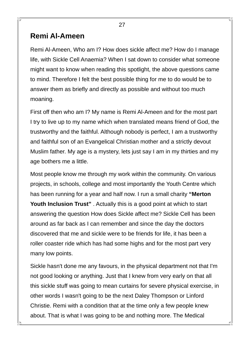#### **Remi Al-Ameen**

Remi Al-Ameen, Who am I? How does sickle affect me? How do I manage life, with Sickle Cell Anaemia? When I sat down to consider what someone might want to know when reading this spotlight, the above questions came to mind. Therefore I felt the best possible thing for me to do would be to answer them as briefly and directly as possible and without too much moaning.

First off then who am I? My name is Remi Al-Ameen and for the most part I try to live up to my name which when translated means friend of God, the trustworthy and the faithful. Although nobody is perfect, I am a trustworthy and faithful son of an Evangelical Christian mother and a strictly devout Muslim father. My age is a mystery, lets just say I am in my thirties and my age bothers me a little.

Most people know me through my work within the community. On various projects, in schools, college and most importantly the Youth Centre which has been running for a year and half now. I run a small charity **"Merton Youth Inclusion Trust"** . Actually this is a good point at which to start answering the question How does Sickle affect me? Sickle Cell has been around as far back as I can remember and since the day the doctors discovered that me and sickle were to be friends for life, it has been a roller coaster ride which has had some highs and for the most part very many low points.

Sickle hasn't done me any favours, in the physical department not that I'm not good looking or anything. Just that I knew from very early on that all this sickle stuff was going to mean curtains for severe physical exercise, in other words I wasn't going to be the next Daley Thompson or Linford Christie. Remi with a condition that at the time only a few people knew about. That is what I was going to be and nothing more. The Medical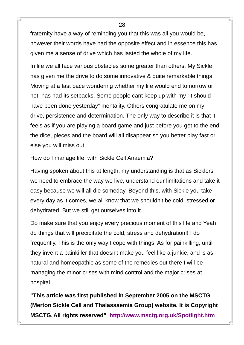fraternity have a way of reminding you that this was all you would be, however their words have had the opposite effect and in essence this has given me a sense of drive which has lasted the whole of my life.

In life we all face various obstacles some greater than others. My Sickle has given me the drive to do some innovative & quite remarkable things. Moving at a fast pace wondering whether my life would end tomorrow or not, has had its setbacks. Some people cant keep up with my "it should have been done yesterday" mentality. Others congratulate me on my drive, persistence and determination. The only way to describe it is that it feels as if you are playing a board game and just before you get to the end the dice, pieces and the board will all disappear so you better play fast or else you will miss out.

How do I manage life, with Sickle Cell Anaemia?

Having spoken about this at length, my understanding is that as Sicklers we need to embrace the way we live, understand our limitations and take it easy because we will all die someday. Beyond this, with Sickle you take every day as it comes, we all know that we shouldn't be cold, stressed or dehydrated. But we still get ourselves into it.

Do make sure that you enjoy every precious moment of this life and Yeah do things that will precipitate the cold, stress and dehydration!! I do frequently. This is the only way I cope with things. As for painkilling, until they invent a painkiller that doesn't make you feel like a junkie, and is as natural and homeopathic as some of the remedies out there I will be managing the minor crises with mind control and the major crises at hospital.

**"This article was first published in September 2005 on the MSCTG (Merton Sickle Cell and Thalassaemia Group) website. It is Copyright MSCTG. All rights reserved" <http://www.msctg.org.uk/Spotlight.htm>**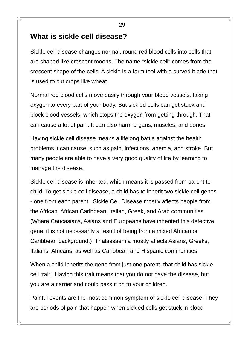#### **What is sickle cell disease?**

Sickle cell disease changes normal, round red blood cells into cells that are shaped like crescent moons. The name "sickle cell" comes from the crescent shape of the cells. A sickle is a farm tool with a curved blade that is used to cut crops like wheat.

Normal red blood cells move easily through your blood vessels, taking oxygen to every part of your body. But sickled cells can get stuck and block blood vessels, which stops the oxygen from getting through. That can cause a lot of pain. It can also harm organs, muscles, and bones.

Having sickle cell disease means a lifelong battle against the health problems it can cause, such as pain, infections, anemia, and stroke. But many people are able to have a very good quality of life by learning to manage the disease.

Sickle cell disease is inherited, which means it is passed from parent to child. To get sickle cell disease, a child has to inherit two sickle cell genes - one from each parent. Sickle Cell Disease mostly affects people from the African, African Caribbean, Italian, Greek, and Arab communities. (Where Caucasians, Asians and Europeans have inherited this defective gene, it is not necessarily a result of being from a mixed African or Caribbean background.) Thalassaemia mostly affects Asians, Greeks, Italians, Africans, as well as Caribbean and Hispanic communities.

When a child inherits the gene from just one parent, that child has sickle cell trait . Having this trait means that you do not have the disease, but you are a carrier and could pass it on to your children.

Painful events are the most common symptom of sickle cell disease. They are periods of pain that happen when sickled cells get stuck in blood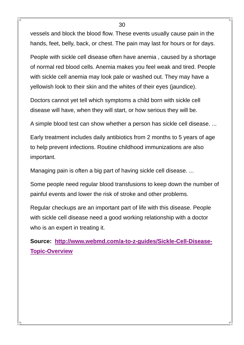vessels and block the blood flow. These events usually cause pain in the hands, feet, belly, back, or chest. The pain may last for hours or for days.

People with sickle cell disease often have anemia , caused by a shortage of normal red blood cells. Anemia makes you feel weak and tired. People with sickle cell anemia may look pale or washed out. They may have a yellowish look to their skin and the whites of their eyes (jaundice).

Doctors cannot yet tell which symptoms a child born with sickle cell disease will have, when they will start, or how serious they will be.

A simple blood test can show whether a person has sickle cell disease. ...

Early treatment includes daily antibiotics from 2 months to 5 years of age to help prevent infections. Routine childhood immunizations are also important.

Managing pain is often a big part of having sickle cell disease. ...

Some people need regular blood transfusions to keep down the number of painful events and lower the risk of stroke and other problems.

Regular checkups are an important part of life with this disease. People with sickle cell disease need a good working relationship with a doctor who is an expert in treating it.

**Source[: h](http://www.webmd.com/a-to-z-guides/sickle-cell-disease-topic-overview)[ttp://www.webmd.com/a-to-z-guides/Sickle-Cell-Disease-](http://www.webmd.com/a-to-z-guides/Sickle-Cell-Disease-)Topic-Overview**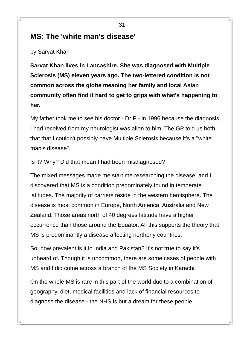#### **MS: The 'white man's disease'**

by Sarvat Khan

**Sarvat Khan lives in Lancashire. She was diagnosed with Multiple Sclerosis (MS) eleven years ago. The two-lettered condition is not common across the globe meaning her family and local Asian community often find it hard to get to grips with what's happening to her.** 

My father took me to see his doctor - Dr P - in 1996 because the diagnosis I had received from my neurologist was alien to him. The GP told us both that that I couldn't possibly have Multiple Sclerosis because it's a "white man's disease"

Is it? Why? Did that mean I had been misdiagnosed?

The mixed messages made me start me researching the disease, and I discovered that MS is a condition predominately found in temperate latitudes. The majority of carriers reside in the western hemisphere. The disease is most common in Europe, North America, Australia and New Zealand. Those areas north of 40 degrees latitude have a higher occurrence than those around the Equator. All this supports the theory that MS is predominantly a disease affecting northerly countries.

So, how prevalent is it in India and Pakistan? It's not true to say it's unheard of. Though it is uncommon, there are some cases of people with MS and I did come across a branch of the MS Society in Karachi.

On the whole MS is rare in this part of the world due to a combination of geography, diet, medical facilities and lack of financial resources to diagnose the disease - the NHS is but a dream for these people.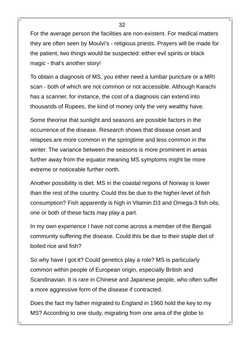For the average person the facilities are non-existent. For medical matters they are often seen by Moulvi's - religious priests. Prayers will be made for the patient, two things would be suspected: either evil spirits or black magic - that's another story!

To obtain a diagnosis of MS, you either need a lumbar puncture or a MRI scan - both of which are not common or not accessible. Although Karachi has a scanner, for instance, the cost of a diagnosis can extend into thousands of Rupees, the kind of money only the very wealthy have.

Some theorise that sunlight and seasons are possible factors in the occurrence of the disease. Research shows that disease onset and relapses are more common in the springtime and less common in the winter. The variance between the seasons is more prominent in areas further away from the equator meaning MS symptoms might be more extreme or noticeable further north.

Another possibility is diet. MS in the coastal regions of Norway is lower than the rest of the country. Could this be due to the higher-level of fish consumption? Fish apparently is high in Vitamin D3 and Omega-3 fish oils; one or both of these facts may play a part.

In my own experience I have not come across a member of the Bengali community suffering the disease. Could this be due to their staple diet of boiled rice and fish?

So why have I got it? Could genetics play a role? MS is particularly common within people of European origin, especially British and Scandinavian. It is rare in Chinese and Japanese people, who often suffer a more aggressive form of the disease if contracted.

Does the fact my father migrated to England in 1960 hold the key to my MS? According to one study, migrating from one area of the globe to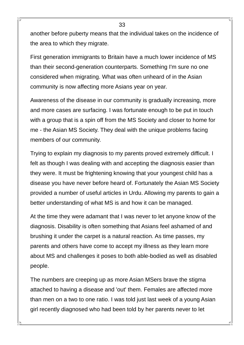another before puberty means that the individual takes on the incidence of the area to which they migrate.

First generation immigrants to Britain have a much lower incidence of MS than their second-generation counterparts. Something I'm sure no one considered when migrating. What was often unheard of in the Asian community is now affecting more Asians year on year.

Awareness of the disease in our community is gradually increasing, more and more cases are surfacing. I was fortunate enough to be put in touch with a group that is a spin off from the MS Society and closer to home for me - the Asian MS Society. They deal with the unique problems facing members of our community.

Trying to explain my diagnosis to my parents proved extremely difficult. I felt as though I was dealing with and accepting the diagnosis easier than they were. It must be frightening knowing that your youngest child has a disease you have never before heard of. Fortunately the Asian MS Society provided a number of useful articles in Urdu. Allowing my parents to gain a better understanding of what MS is and how it can be managed.

At the time they were adamant that I was never to let anyone know of the diagnosis. Disability is often something that Asians feel ashamed of and brushing it under the carpet is a natural reaction. As time passes, my parents and others have come to accept my illness as they learn more about MS and challenges it poses to both able-bodied as well as disabled people.

The numbers are creeping up as more Asian MSers brave the stigma attached to having a disease and 'out' them. Females are affected more than men on a two to one ratio. I was told just last week of a young Asian girl recently diagnosed who had been told by her parents never to let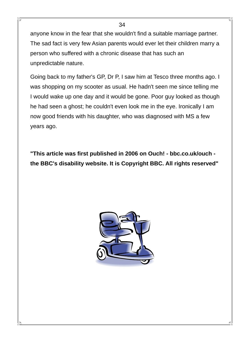anyone know in the fear that she wouldn't find a suitable marriage partner. The sad fact is very few Asian parents would ever let their children marry a person who suffered with a chronic disease that has such an unpredictable nature.

Going back to my father's GP, Dr P, I saw him at Tesco three months ago. I was shopping on my scooter as usual. He hadn't seen me since telling me I would wake up one day and it would be gone. Poor guy looked as though he had seen a ghost; he couldn't even look me in the eye. Ironically I am now good friends with his daughter, who was diagnosed with MS a few years ago.

**"This article was first published in 2006 on Ouch! - bbc.co.uk/ouch the BBC's disability website. It is Copyright BBC. All rights reserved"** 

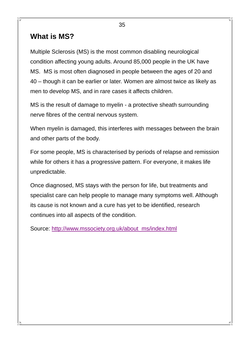#### **What is MS?**

Multiple Sclerosis (MS) is the most common disabling neurological condition affecting young adults. Around 85,000 people in the UK have MS. MS is most often diagnosed in people between the ages of 20 and 40 – though it can be earlier or later. Women are almost twice as likely as men to develop MS, and in rare cases it affects children.

MS is the result of damage to myelin - a protective sheath surrounding nerve fibres of the central nervous system.

When myelin is damaged, this interferes with messages between the brain and other parts of the body.

For some people, MS is characterised by periods of relapse and remission while for others it has a progressive pattern. For everyone, it makes life unpredictable.

Once diagnosed, MS stays with the person for life, but treatments and specialist care can help people to manage many symptoms well. Although its cause is not known and a cure has yet to be identified, research continues into all aspects of the condition.

Source: [http://www.mssociety.org.uk/about\\_ms/index.html](http://www.mssociety.org.uk/about_ms/index.html)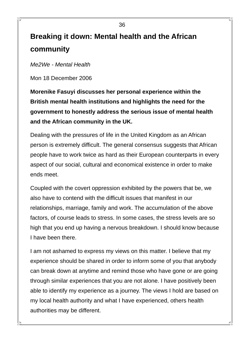## **Breaking it down: Mental health and the African community**

*Me2We - Mental Health*

Mon 18 December 2006

**Morenike Fasuyi discusses her personal experience within the British mental health institutions and highlights the need for the government to honestly address the serious issue of mental health and the African community in the UK.** 

Dealing with the pressures of life in the United Kingdom as an African person is extremely difficult. The general consensus suggests that African people have to work twice as hard as their European counterparts in every aspect of our social, cultural and economical existence in order to make ends meet.

Coupled with the covert oppression exhibited by the powers that be, we also have to contend with the difficult issues that manifest in our relationships, marriage, family and work. The accumulation of the above factors, of course leads to stress. In some cases, the stress levels are so high that you end up having a nervous breakdown. I should know because I have been there.

I am not ashamed to express my views on this matter. I believe that my experience should be shared in order to inform some of you that anybody can break down at anytime and remind those who have gone or are going through similar experiences that you are not alone. I have positively been able to identify my experience as a journey. The views I hold are based on my local health authority and what I have experienced, others health authorities may be different.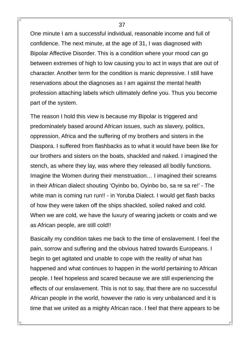One minute I am a successful individual, reasonable income and full of confidence. The next minute, at the age of 31, I was diagnosed with Bipolar Affective Disorder. This is a condition where your mood can go between extremes of high to low causing you to act in ways that are out of character. Another term for the condition is manic depressive. I still have reservations about the diagnoses as I am against the mental health profession attaching labels which ultimately define you. Thus you become part of the system.

The reason I hold this view is because my Bipolar is triggered and predominately based around African issues, such as slavery, politics, oppression, Africa and the suffering of my brothers and sisters in the Diaspora. I suffered from flashbacks as to what it would have been like for our brothers and sisters on the boats, shackled and naked. I imagined the stench, as where they lay, was where they released all bodily functions. Imagine the Women during their menstruation… I imagined their screams in their African dialect shouting 'Oyinbo bo, Oyinbo bo, sa re sa re!' - The white man is coming run run!! - in Yoruba Dialect. I would get flash backs of how they were taken off the ships shackled, soiled naked and cold. When we are cold, we have the luxury of wearing jackets or coats and we as African people, are still cold!!

Basically my condition takes me back to the time of enslavement. I feel the pain, sorrow and suffering and the obvious hatred towards Europeans. I begin to get agitated and unable to cope with the reality of what has happened and what continues to happen in the world pertaining to African people. I feel hopeless and scared because we are still experiencing the effects of our enslavement. This is not to say, that there are no successful African people in the world, however the ratio is very unbalanced and it is time that we united as a mighty African race. I feel that there appears to be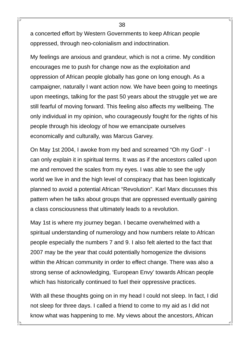a concerted effort by Western Governments to keep African people oppressed, through neo-colonialism and indoctrination.

My feelings are anxious and grandeur, which is not a crime. My condition encourages me to push for change now as the exploitation and oppression of African people globally has gone on long enough. As a campaigner, naturally I want action now. We have been going to meetings upon meetings, talking for the past 50 years about the struggle yet we are still fearful of moving forward. This feeling also affects my wellbeing. The only individual in my opinion, who courageously fought for the rights of his people through his ideology of how we emancipate ourselves economically and culturally, was Marcus Garvey.

On May 1st 2004, I awoke from my bed and screamed "Oh my God" - I can only explain it in spiritual terms. It was as if the ancestors called upon me and removed the scales from my eyes. I was able to see the ugly world we live in and the high level of conspiracy that has been logistically planned to avoid a potential African "Revolution". Karl Marx discusses this pattern when he talks about groups that are oppressed eventually gaining a class consciousness that ultimately leads to a revolution.

May 1st is where my journey began. I became overwhelmed with a spiritual understanding of numerology and how numbers relate to African people especially the numbers 7 and 9. I also felt alerted to the fact that 2007 may be the year that could potentially homogenize the divisions within the African community in order to effect change. There was also a strong sense of acknowledging, 'European Envy' towards African people which has historically continued to fuel their oppressive practices.

With all these thoughts going on in my head I could not sleep. In fact, I did not sleep for three days. I called a friend to come to my aid as I did not know what was happening to me. My views about the ancestors, African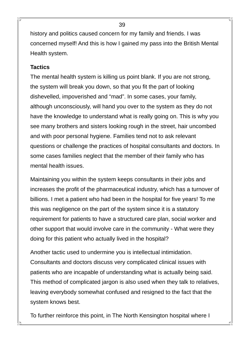history and politics caused concern for my family and friends. I was concerned myself! And this is how I gained my pass into the British Mental Health system.

#### **Tactics**

The mental health system is killing us point blank. If you are not strong, the system will break you down, so that you fit the part of looking dishevelled, impoverished and "mad". In some cases, your family, although unconsciously, will hand you over to the system as they do not have the knowledge to understand what is really going on. This is why you see many brothers and sisters looking rough in the street, hair uncombed and with poor personal hygiene. Families tend not to ask relevant questions or challenge the practices of hospital consultants and doctors. In some cases families neglect that the member of their family who has mental health issues.

Maintaining you within the system keeps consultants in their jobs and increases the profit of the pharmaceutical industry, which has a turnover of billions. I met a patient who had been in the hospital for five years! To me this was negligence on the part of the system since it is a statutory requirement for patients to have a structured care plan, social worker and other support that would involve care in the community - What were they doing for this patient who actually lived in the hospital?

Another tactic used to undermine you is intellectual intimidation. Consultants and doctors discuss very complicated clinical issues with patients who are incapable of understanding what is actually being said. This method of complicated jargon is also used when they talk to relatives, leaving everybody somewhat confused and resigned to the fact that the system knows best.

To further reinforce this point, in The North Kensington hospital where I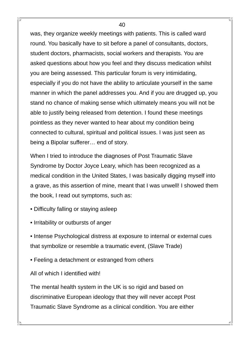was, they organize weekly meetings with patients. This is called ward round. You basically have to sit before a panel of consultants, doctors, student doctors, pharmacists, social workers and therapists. You are asked questions about how you feel and they discuss medication whilst you are being assessed. This particular forum is very intimidating, especially if you do not have the ability to articulate yourself in the same manner in which the panel addresses you. And if you are drugged up, you stand no chance of making sense which ultimately means you will not be able to justify being released from detention. I found these meetings pointless as they never wanted to hear about my condition being connected to cultural, spiritual and political issues. I was just seen as being a Bipolar sufferer… end of story.

When I tried to introduce the diagnoses of Post Traumatic Slave Syndrome by Doctor Joyce Leary, which has been recognized as a medical condition in the United States, I was basically digging myself into a grave, as this assertion of mine, meant that I was unwell! I showed them the book, I read out symptoms, such as:

- Difficulty falling or staying asleep
- Irritability or outbursts of anger
- Intense Psychological distress at exposure to internal or external cues that symbolize or resemble a traumatic event, (Slave Trade)
- Feeling a detachment or estranged from others

All of which I identified with!

The mental health system in the UK is so rigid and based on discriminative European ideology that they will never accept Post Traumatic Slave Syndrome as a clinical condition. You are either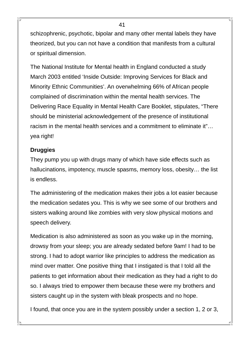schizophrenic, psychotic, bipolar and many other mental labels they have theorized, but you can not have a condition that manifests from a cultural or spiritual dimension.

The National Institute for Mental health in England conducted a study March 2003 entitled 'Inside Outside: Improving Services for Black and Minority Ethnic Communities'. An overwhelming 66% of African people complained of discrimination within the mental health services. The Delivering Race Equality in Mental Health Care Booklet, stipulates, "There should be ministerial acknowledgement of the presence of institutional racism in the mental health services and a commitment to eliminate it"… yea right!

#### **Druggies**

They pump you up with drugs many of which have side effects such as hallucinations, impotency, muscle spasms, memory loss, obesity… the list is endless.

The administering of the medication makes their jobs a lot easier because the medication sedates you. This is why we see some of our brothers and sisters walking around like zombies with very slow physical motions and speech delivery.

Medication is also administered as soon as you wake up in the morning, drowsy from your sleep; you are already sedated before 9am! I had to be strong. I had to adopt warrior like principles to address the medication as mind over matter. One positive thing that I instigated is that I told all the patients to get information about their medication as they had a right to do so. I always tried to empower them because these were my brothers and sisters caught up in the system with bleak prospects and no hope.

I found, that once you are in the system possibly under a section 1, 2 or 3,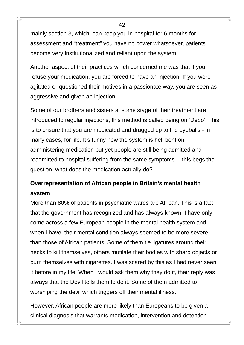mainly section 3, which, can keep you in hospital for 6 months for assessment and "treatment" you have no power whatsoever, patients become very institutionalized and reliant upon the system.

Another aspect of their practices which concerned me was that if you refuse your medication, you are forced to have an injection. If you were agitated or questioned their motives in a passionate way, you are seen as aggressive and given an injection.

Some of our brothers and sisters at some stage of their treatment are introduced to regular injections, this method is called being on 'Depo'. This is to ensure that you are medicated and drugged up to the eyeballs - in many cases, for life. It's funny how the system is hell bent on administering medication but yet people are still being admitted and readmitted to hospital suffering from the same symptoms… this begs the question, what does the medication actually do?

### **Overrepresentation of African people in Britain's mental health system**

More than 80% of patients in psychiatric wards are African. This is a fact that the government has recognized and has always known. I have only come across a few European people in the mental health system and when I have, their mental condition always seemed to be more severe than those of African patients. Some of them tie ligatures around their necks to kill themselves, others mutilate their bodies with sharp objects or burn themselves with cigarettes. I was scared by this as I had never seen it before in my life. When I would ask them why they do it, their reply was always that the Devil tells them to do it. Some of them admitted to worshiping the devil which triggers off their mental illness.

However, African people are more likely than Europeans to be given a clinical diagnosis that warrants medication, intervention and detention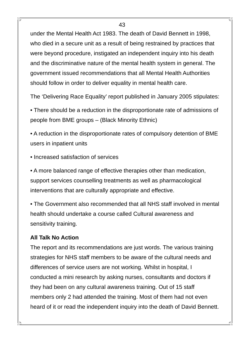under the Mental Health Act 1983. The death of David Bennett in 1998, who died in a secure unit as a result of being restrained by practices that were beyond procedure, instigated an independent inquiry into his death and the discriminative nature of the mental health system in general. The government issued recommendations that all Mental Health Authorities should follow in order to deliver equality in mental health care.

The 'Delivering Race Equality' report published in January 2005 stipulates:

• There should be a reduction in the disproportionate rate of admissions of people from BME groups – (Black Minority Ethnic)

• A reduction in the disproportionate rates of compulsory detention of BME users in inpatient units

• Increased satisfaction of services

• A more balanced range of effective therapies other than medication, support services counselling treatments as well as pharmacological interventions that are culturally appropriate and effective.

• The Government also recommended that all NHS staff involved in mental health should undertake a course called Cultural awareness and sensitivity training.

### **All Talk No Action**

The report and its recommendations are just words. The various training strategies for NHS staff members to be aware of the cultural needs and differences of service users are not working. Whilst in hospital, I conducted a mini research by asking nurses, consultants and doctors if they had been on any cultural awareness training. Out of 15 staff members only 2 had attended the training. Most of them had not even heard of it or read the independent inquiry into the death of David Bennett.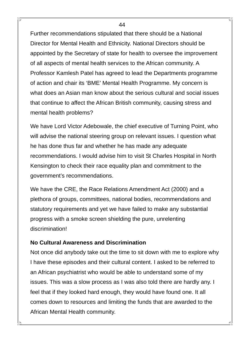Further recommendations stipulated that there should be a National Director for Mental Health and Ethnicity. National Directors should be appointed by the Secretary of state for health to oversee the improvement of all aspects of mental health services to the African community. A Professor Kamlesh Patel has agreed to lead the Departments programme of action and chair its 'BME' Mental Health Programme. My concern is what does an Asian man know about the serious cultural and social issues that continue to affect the African British community, causing stress and mental health problems?

We have Lord Victor Adebowale, the chief executive of Turning Point, who will advise the national steering group on relevant issues. I question what he has done thus far and whether he has made any adequate recommendations. I would advise him to visit St Charles Hospital in North Kensington to check their race equality plan and commitment to the government's recommendations.

We have the CRE, the Race Relations Amendment Act (2000) and a plethora of groups, committees, national bodies, recommendations and statutory requirements and yet we have failed to make any substantial progress with a smoke screen shielding the pure, unrelenting discrimination!

#### **No Cultural Awareness and Discrimination**

Not once did anybody take out the time to sit down with me to explore why I have these episodes and their cultural content. I asked to be referred to an African psychiatrist who would be able to understand some of my issues. This was a slow process as I was also told there are hardly any. I feel that if they looked hard enough, they would have found one. It all comes down to resources and limiting the funds that are awarded to the African Mental Health community.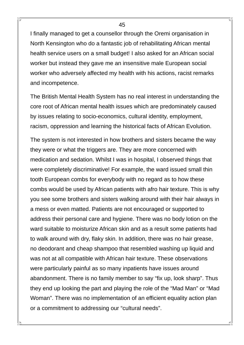I finally managed to get a counsellor through the Oremi organisation in North Kensington who do a fantastic job of rehabilitating African mental health service users on a small budget! I also asked for an African social worker but instead they gave me an insensitive male European social worker who adversely affected my health with his actions, racist remarks and incompetence.

The British Mental Health System has no real interest in understanding the core root of African mental health issues which are predominately caused by issues relating to socio-economics, cultural identity, employment, racism, oppression and learning the historical facts of African Evolution.

The system is not interested in how brothers and sisters became the way they were or what the triggers are. They are more concerned with medication and sedation. Whilst I was in hospital, I observed things that were completely discriminative! For example, the ward issued small thin tooth European combs for everybody with no regard as to how these combs would be used by African patients with afro hair texture. This is why you see some brothers and sisters walking around with their hair always in a mess or even matted. Patients are not encouraged or supported to address their personal care and hygiene. There was no body lotion on the ward suitable to moisturize African skin and as a result some patients had to walk around with dry, flaky skin. In addition, there was no hair grease, no deodorant and cheap shampoo that resembled washing up liquid and was not at all compatible with African hair texture. These observations were particularly painful as so many inpatients have issues around abandonment. There is no family member to say "fix up, look sharp". Thus they end up looking the part and playing the role of the "Mad Man" or "Mad Woman". There was no implementation of an efficient equality action plan or a commitment to addressing our "cultural needs".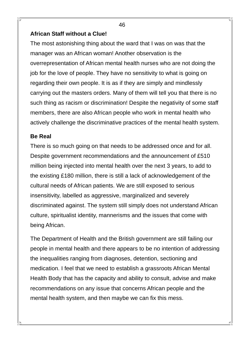#### **African Staff without a Clue!**

The most astonishing thing about the ward that I was on was that the manager was an African woman! Another observation is the overrepresentation of African mental health nurses who are not doing the job for the love of people. They have no sensitivity to what is going on regarding their own people. It is as if they are simply and mindlessly carrying out the masters orders. Many of them will tell you that there is no such thing as racism or discrimination! Despite the negativity of some staff members, there are also African people who work in mental health who actively challenge the discriminative practices of the mental health system.

#### **Be Real**

There is so much going on that needs to be addressed once and for all. Despite government recommendations and the announcement of £510 million being injected into mental health over the next 3 years, to add to the existing £180 million, there is still a lack of acknowledgement of the cultural needs of African patients. We are still exposed to serious insensitivity, labelled as aggressive, marginalized and severely discriminated against. The system still simply does not understand African culture, spiritualist identity, mannerisms and the issues that come with being African.

The Department of Health and the British government are still failing our people in mental health and there appears to be no intention of addressing the inequalities ranging from diagnoses, detention, sectioning and medication. I feel that we need to establish a grassroots African Mental Health Body that has the capacity and ability to consult, advise and make recommendations on any issue that concerns African people and the mental health system, and then maybe we can fix this mess.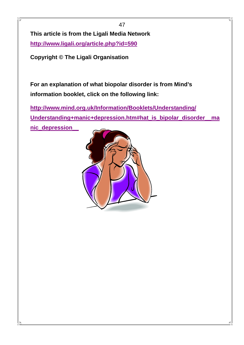47

**This article is from the Ligali Media Network <http://www.ligali.org/article.php?id=590>**

**Copyright © The Ligali Organisation** 

**For an explanation of what biopolar disorder is from Mind's information booklet, click on the following link:** 

**<http://www.mind.org.uk/Information/Booklets/Understanding/> [Understanding+manic+depression.htm#hat\\_is\\_bipolar\\_disorder\\_\\_ma](http://www.mind.org.uk/Information/Booklets/Understanding/Understanding+manic+depression.htm#What_is_bipolar_disorder__manic_depression__) nic\_depression\_\_**

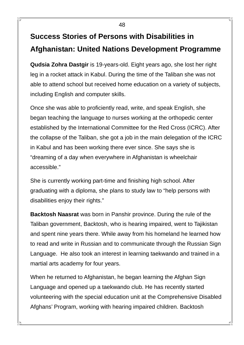# **Success Stories of Persons with Disabilities in Afghanistan: United Nations Development Programme**

**Qudsia Zohra Dastgir** is 19-years-old. Eight years ago, she lost her right leg in a rocket attack in Kabul. During the time of the Taliban she was not able to attend school but received home education on a variety of subjects, including English and computer skills.

Once she was able to proficiently read, write, and speak English, she began teaching the language to nurses working at the orthopedic center established by the International Committee for the Red Cross (ICRC). After the collapse of the Taliban, she got a job in the main delegation of the ICRC in Kabul and has been working there ever since. She says she is "dreaming of a day when everywhere in Afghanistan is wheelchair accessible."

She is currently working part-time and finishing high school. After graduating with a diploma, she plans to study law to "help persons with disabilities enjoy their rights."

**Backtosh Naasrat** was born in Panshir province. During the rule of the Taliban government, Backtosh, who is hearing impaired, went to Tajikistan and spent nine years there. While away from his homeland he learned how to read and write in Russian and to communicate through the Russian Sign Language. He also took an interest in learning taekwando and trained in a martial arts academy for four years.

When he returned to Afghanistan, he began learning the Afghan Sign Language and opened up a taekwando club. He has recently started volunteering with the special education unit at the Comprehensive Disabled Afghans' Program, working with hearing impaired children. Backtosh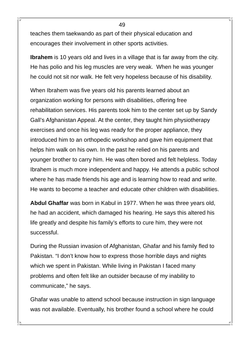teaches them taekwando as part of their physical education and encourages their involvement in other sports activities.

**Ibrahem** is 10 years old and lives in a village that is far away from the city. He has polio and his leg muscles are very weak. When he was younger he could not sit nor walk. He felt very hopeless because of his disability.

When Ibrahem was five years old his parents learned about an organization working for persons with disabilities, offering free rehabilitation services. His parents took him to the center set up by Sandy Gall's Afghanistan Appeal. At the center, they taught him physiotherapy exercises and once his leg was ready for the proper appliance, they introduced him to an orthopedic workshop and gave him equipment that helps him walk on his own. In the past he relied on his parents and younger brother to carry him. He was often bored and felt helpless. Today Ibrahem is much more independent and happy. He attends a public school where he has made friends his age and is learning how to read and write. He wants to become a teacher and educate other children with disabilities.

**Abdul Ghaffar** was born in Kabul in 1977. When he was three years old, he had an accident, which damaged his hearing. He says this altered his life greatly and despite his family's efforts to cure him, they were not successful.

During the Russian invasion of Afghanistan, Ghafar and his family fled to Pakistan. "I don't know how to express those horrible days and nights which we spent in Pakistan. While living in Pakistan I faced many problems and often felt like an outsider because of my inability to communicate," he says.

Ghafar was unable to attend school because instruction in sign language was not available. Eventually, his brother found a school where he could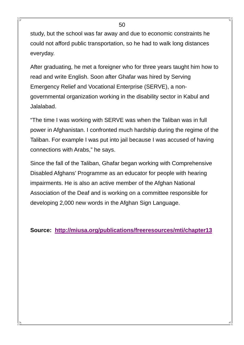study, but the school was far away and due to economic constraints he could not afford public transportation, so he had to walk long distances everyday.

After graduating, he met a foreigner who for three years taught him how to read and write English. Soon after Ghafar was hired by Serving Emergency Relief and Vocational Enterprise (SERVE), a nongovernmental organization working in the disability sector in Kabul and Jalalabad.

"The time I was working with SERVE was when the Taliban was in full power in Afghanistan. I confronted much hardship during the regime of the Taliban. For example I was put into jail because I was accused of having connections with Arabs," he says.

Since the fall of the Taliban, Ghafar began working with Comprehensive Disabled Afghans' Programme as an educator for people with hearing impairments. He is also an active member of the Afghan National Association of the Deaf and is working on a committee responsible for developing 2,000 new words in the Afghan Sign Language.

**Source: <http://miusa.org/publications/freeresources/mti/chapter13>**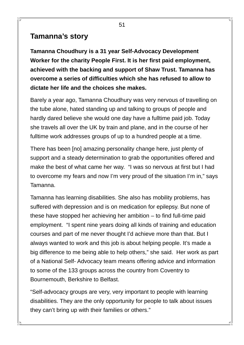### **Tamanna's story**

**Tamanna Choudhury is a 31 year Self-Advocacy Development Worker for the charity People First. It is her first paid employment, achieved with the backing and support of Shaw Trust. Tamanna has overcome a series of difficulties which she has refused to allow to dictate her life and the choices she makes.** 

Barely a year ago, Tamanna Choudhury was very nervous of travelling on the tube alone, hated standing up and talking to groups of people and hardly dared believe she would one day have a fulltime paid job. Today she travels all over the UK by train and plane, and in the course of her fulltime work addresses groups of up to a hundred people at a time.

There has been [no] amazing personality change here, just plenty of support and a steady determination to grab the opportunities offered and make the best of what came her way. "I was so nervous at first but I had to overcome my fears and now I'm very proud of the situation I'm in," says Tamanna.

Tamanna has learning disabilities. She also has mobility problems, has suffered with depression and is on medication for epilepsy. But none of these have stopped her achieving her ambition – to find full-time paid employment. "I spent nine years doing all kinds of training and education courses and part of me never thought I'd achieve more than that. But I always wanted to work and this job is about helping people. It's made a big difference to me being able to help others," she said. Her work as part of a National Self- Advocacy team means offering advice and information to some of the 133 groups across the country from Coventry to Bournemouth, Berkshire to Belfast.

"Self-advocacy groups are very, very important to people with learning disabilities. They are the only opportunity for people to talk about issues they can't bring up with their families or others."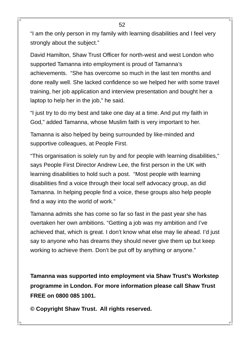"I am the only person in my family with learning disabilities and I feel very strongly about the subject."

David Hamilton, Shaw Trust Officer for north-west and west London who supported Tamanna into employment is proud of Tamanna's achievements. "She has overcome so much in the last ten months and done really well. She lacked confidence so we helped her with some travel training, her job application and interview presentation and bought her a laptop to help her in the job," he said.

"I just try to do my best and take one day at a time. And put my faith in God," added Tamanna, whose Muslim faith is very important to her.

Tamanna is also helped by being surrounded by like-minded and supportive colleagues, at People First.

"This organisation is solely run by and for people with learning disabilities," says People First Director Andrew Lee, the first person in the UK with learning disabilities to hold such a post. "Most people with learning disabilities find a voice through their local self advocacy group, as did Tamanna. In helping people find a voice, these groups also help people find a way into the world of work."

Tamanna admits she has come so far so fast in the past year she has overtaken her own ambitions. "Getting a job was my ambition and I've achieved that, which is great. I don't know what else may lie ahead. I'd just say to anyone who has dreams they should never give them up but keep working to achieve them. Don't be put off by anything or anyone."

**Tamanna was supported into employment via Shaw Trust's Workstep programme in London. For more information please call Shaw Trust FREE on 0800 085 1001.** 

**© Copyright Shaw Trust. All rights reserved.**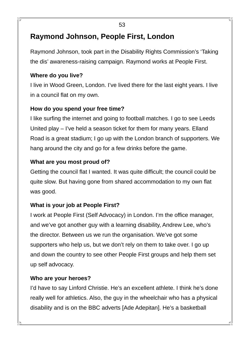# **Raymond Johnson, People First, London**

Raymond Johnson, took part in the Disability Rights Commission's 'Taking the dis' awareness-raising campaign. Raymond works at People First.

### **Where do you live?**

I live in Wood Green, London. I've lived there for the last eight years. I live in a council flat on my own.

### **How do you spend your free time?**

I like surfing the internet and going to football matches. I go to see Leeds United play – I've held a season ticket for them for many years. Elland Road is a great stadium; I go up with the London branch of supporters. We hang around the city and go for a few drinks before the game.

### **What are you most proud of?**

Getting the council flat I wanted. It was quite difficult; the council could be quite slow. But having gone from shared accommodation to my own flat was good.

### **What is your job at People First?**

I work at People First (Self Advocacy) in London. I'm the office manager, and we've got another guy with a learning disability, Andrew Lee, who's the director. Between us we run the organisation. We've got some supporters who help us, but we don't rely on them to take over. I go up and down the country to see other People First groups and help them set up self advocacy.

### **Who are your heroes?**

I'd have to say Linford Christie. He's an excellent athlete. I think he's done really well for athletics. Also, the guy in the wheelchair who has a physical disability and is on the BBC adverts [Ade Adepitan]. He's a basketball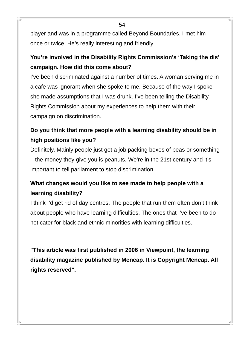player and was in a programme called Beyond Boundaries. I met him once or twice. He's really interesting and friendly.

### **You're involved in the Disability Rights Commission's 'Taking the dis' campaign. How did this come about?**

I've been discriminated against a number of times. A woman serving me in a cafe was ignorant when she spoke to me. Because of the way I spoke she made assumptions that I was drunk. I've been telling the Disability Rights Commission about my experiences to help them with their campaign on discrimination.

### **Do you think that more people with a learning disability should be in high positions like you?**

Definitely. Mainly people just get a job packing boxes of peas or something – the money they give you is peanuts. We're in the 21st century and it's important to tell parliament to stop discrimination.

### **What changes would you like to see made to help people with a learning disability?**

I think I'd get rid of day centres. The people that run them often don't think about people who have learning difficulties. The ones that I've been to do not cater for black and ethnic minorities with learning difficulties.

**"This article was first published in 2006 in Viewpoint, the learning disability magazine published by Mencap. It is Copyright Mencap. All rights reserved".**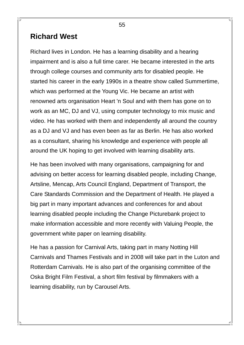### **Richard West**

Richard lives in London. He has a learning disability and a hearing impairment and is also a full time carer. He became interested in the arts through college courses and community arts for disabled people. He started his career in the early 1990s in a theatre show called Summertime, which was performed at the Young Vic. He became an artist with renowned arts organisation Heart 'n Soul and with them has gone on to work as an MC, DJ and VJ, using computer technology to mix music and video. He has worked with them and independently all around the country as a DJ and VJ and has even been as far as Berlin. He has also worked as a consultant, sharing his knowledge and experience with people all around the UK hoping to get involved with learning disability arts.

He has been involved with many organisations, campaigning for and advising on better access for learning disabled people, including Change, Artsline, Mencap, Arts Council England, Department of Transport, the Care Standards Commission and the Department of Health. He played a big part in many important advances and conferences for and about learning disabled people including the Change Picturebank project to make information accessible and more recently with Valuing People, the government white paper on learning disability.

He has a passion for Carnival Arts, taking part in many Notting Hill Carnivals and Thames Festivals and in 2008 will take part in the Luton and Rotterdam Carnivals. He is also part of the organising committee of the Oska Bright Film Festival, a short film festival by filmmakers with a learning disability, run by Carousel Arts.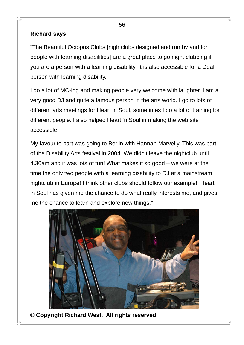#### **Richard says**

"The Beautiful Octopus Clubs [nightclubs designed and run by and for people with learning disabilities] are a great place to go night clubbing if you are a person with a learning disability. It is also accessible for a Deaf person with learning disability.

I do a lot of MC-ing and making people very welcome with laughter. I am a very good DJ and quite a famous person in the arts world. I go to lots of different arts meetings for Heart 'n Soul, sometimes I do a lot of training for different people. I also helped Heart 'n Soul in making the web site accessible.

My favourite part was going to Berlin with Hannah Marvelly. This was part of the Disability Arts festival in 2004. We didn't leave the nightclub until 4.30am and it was lots of fun! What makes it so good – we were at the time the only two people with a learning disability to DJ at a mainstream nightclub in Europe! I think other clubs should follow our example!! Heart 'n Soul has given me the chance to do what really interests me, and gives me the chance to learn and explore new things."



**© Copyright Richard West. All rights reserved.**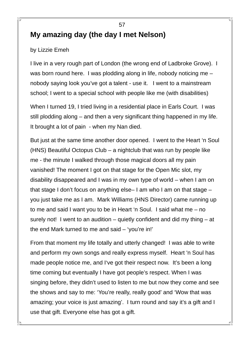# **My amazing day (the day I met Nelson)**

### by Lizzie Emeh

I live in a very rough part of London (the wrong end of Ladbroke Grove). I was born round here. I was plodding along in life, nobody noticing me – nobody saying look you've got a talent - use it. I went to a mainstream school; I went to a special school with people like me (with disabilities)

When I turned 19, I tried living in a residential place in Earls Court. I was still plodding along – and then a very significant thing happened in my life. It brought a lot of pain - when my Nan died.

But just at the same time another door opened. I went to the Heart 'n Soul (HNS) Beautiful Octopus Club – a nightclub that was run by people like me - the minute I walked through those magical doors all my pain vanished! The moment I got on that stage for the Open Mic slot, my disability disappeared and I was in my own type of world – when I am on that stage I don't focus on anything else– I am who I am on that stage – you just take me as I am. Mark Williams (HNS Director) came running up to me and said I want you to be in Heart 'n Soul. I said what me – no surely not! I went to an audition  $-$  quietly confident and did my thing  $-$  at the end Mark turned to me and said – 'you're in!'

From that moment my life totally and utterly changed! I was able to write and perform my own songs and really express myself. Heart 'n Soul has made people notice me, and I've got their respect now. It's been a long time coming but eventually I have got people's respect. When I was singing before, they didn't used to listen to me but now they come and see the shows and say to me: 'You're really, really good' and 'Wow that was amazing; your voice is just amazing'. I turn round and say it's a gift and I use that gift. Everyone else has got a gift.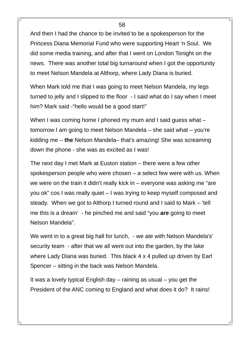And then I had the chance to be invited to be a spokesperson for the Princess Diana Memorial Fund who were supporting Heart 'n Soul. We did some media training, and after that I went on London Tonight on the news. There was another total big turnaround when I got the opportunity to meet Nelson Mandela at Althorp, where Lady Diana is buried.

When Mark told me that I was going to meet Nelson Mandela, my legs turned to jelly and I slipped to the floor - I said what do I say when I meet him? Mark said -"hello would be a good start!"

When I was coming home I phoned my mum and I said guess what – tomorrow I am going to meet Nelson Mandela – she said what – you're kidding me – **the** Nelson Mandela– that's amazing! She was screaming down the phone - she was as excited as I was!

The next day I met Mark at Euston station – there were a few other spokesperson people who were chosen – a select few were with us. When we were on the train it didn't really kick in – everyone was asking me "are you ok" cos I was really quiet – I was trying to keep myself composed and steady. When we got to Althorp I turned round and I said to Mark – 'tell me this is a dream' - he pinched me and said "you **are** going to meet Nelson Mandela".

We went in to a great big hall for lunch, - we ate with Nelson Mandela's' security team - after that we all went out into the garden, by the lake where Lady Diana was buried. This black 4 x 4 pulled up driven by Earl Spencer – sitting in the back was Nelson Mandela.

It was a lovely typical English day – raining as usual – you get the President of the ANC coming to England and what does it do? It rains!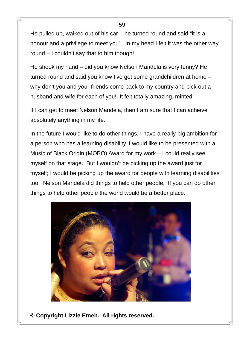He pulled up, walked out of his car – he turned round and said "it is a honour and a privilege to meet you". In my head I felt it was the other way round – I couldn't say that to him though!

He shook my hand – did you know Nelson Mandela is very funny? He turned round and said you know I've got some grandchildren at home – why don't you and your friends come back to my country and pick out a husband and wife for each of you! It felt totally amazing, minted!

If I can get to meet Nelson Mandela, then I am sure that I can achieve absolutely anything in my life.

In the future I would like to do other things. I have a really big ambition for a person who has a learning disability. I would like to be presented with a Music of Black Origin (MOBO) Award for my work – I could really see myself on that stage. But I wouldn't be picking up the award just for myself; I would be picking up the award for people with learning disabilities too. Nelson Mandela did things to help other people. If you can do other things to help other people the world would be a better place.



**© Copyright Lizzie Emeh. All rights reserved.**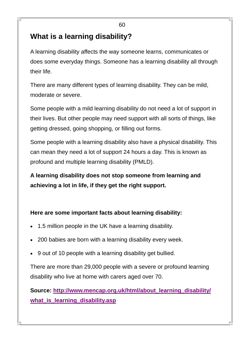## **What is a learning disability?**

A learning disability affects the way someone learns, communicates or does some everyday things. Someone has a learning disability all through their life.

There are many different types of learning disability. They can be mild, moderate or severe.

Some people with a mild learning disability do not need a lot of support in their lives. But other people may need support with all sorts of things, like getting dressed, going shopping, or filling out forms.

Some people with a learning disability also have a physical disability. This can mean they need a lot of support 24 hours a day. This is known as profound and multiple learning disability (PMLD).

**A learning disability does not stop someone from learning and achieving a lot in life, if they get the right support.** 

### **Here are some important facts about learning disability:**

- 1.5 million people in the UK have a learning disability.
- 200 babies are born with a learning disability every week.
- 9 out of 10 people with a learning disability get bullied.

There are more than 29,000 people with a severe or profound learning disability who live at home with carers aged over 70.

**Source[: h](http://www.mencap.org.uk/html/about_learning_disability/what_is_learning_disability.asp)[ttp://www.mencap.org.uk/html/about\\_learning\\_disability/](http://www.mencap.org.uk/html/about_learning_disability/) what\_is\_learning\_disability.asp**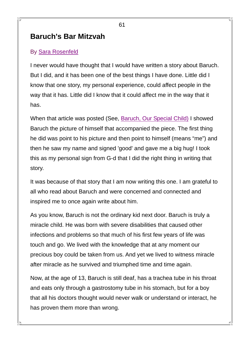### **Baruch's Bar Mitzvah**

#### By [Sara Rosenfeld](http://www.chabad.org/search/keyword.htm/kid/10476/jewish/Rosenfeld-Sara.html)

I never would have thought that I would have written a story about Baruch. But I did, and it has been one of the best things I have done. Little did I know that one story, my personal experience, could affect people in the way that it has. Little did I know that it could affect me in the way that it has.

When that article was posted (See, [Baruch, Our Special Child\)](http://www.chabad.org/theJewishWoman/article.htm/aid/381276/jewish/Baruch-Our-Special-Child.html) I showed Baruch the picture of himself that accompanied the piece. The first thing he did was point to his picture and then point to himself (means "me") and then he saw my name and signed 'good' and gave me a big hug! I took this as my personal sign from G-d that I did the right thing in writing that story.

It was because of that story that I am now writing this one. I am grateful to all who read about Baruch and were concerned and connected and inspired me to once again write about him.

As you know, Baruch is not the ordinary kid next door. Baruch is truly a miracle child. He was born with severe disabilities that caused other infections and problems so that much of his first few years of life was touch and go. We lived with the knowledge that at any moment our precious boy could be taken from us. And yet we lived to witness miracle after miracle as he survived and triumphed time and time again.

Now, at the age of 13, Baruch is still deaf, has a trachea tube in his throat and eats only through a gastrostomy tube in his stomach, but for a boy that all his doctors thought would never walk or understand or interact, he has proven them more than wrong.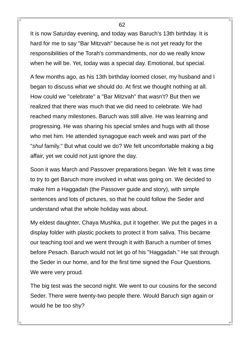It is now Saturday evening, and today was Baruch's 13th birthday. It is hard for me to say "Bar Mitzvah" because he is not yet ready for the responsibilities of the Torah's commandments, nor do we really know when he will be. Yet, today was a special day. Emotional, but special.

A few months ago, as his 13th birthday loomed closer, my husband and I began to discuss what we should do. At first we thought nothing at all. How could we "celebrate" a "Bar Mitzvah" that wasn't? But then we realized that there was much that we did need to celebrate. We had reached many milestones. Baruch was still alive. He was learning and progressing. He was sharing his special smiles and hugs with all those who met him. He attended synagogue each week and was part of the "*shul* family." But what could we do? We felt uncomfortable making a big affair, yet we could not just ignore the day.

Soon it was March and Passover preparations began. We felt it was time to try to get Baruch more involved in what was going on. We decided to make him a Haggadah (the Passover guide and story), with simple sentences and lots of pictures, so that he could follow the Seder and understand what the whole holiday was about.

My eldest daughter, Chaya Mushka, put it together. We put the pages in a display folder with plastic pockets to protect it from saliva. This became our teaching tool and we went through it with Baruch a number of times before Pesach. Baruch would not let go of his "Haggadah." He sat through the Seder in our home, and for the first time signed the Four Questions. We were very proud.

The big test was the second night. We went to our cousins for the second Seder. There were twenty-two people there. Would Baruch sign again or would he be too shy?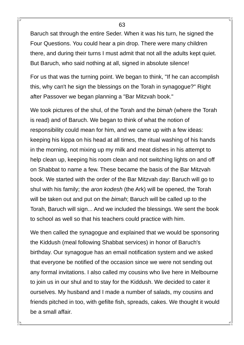Baruch sat through the entire Seder. When it was his turn, he signed the Four Questions. You could hear a pin drop. There were many children there, and during their turns I must admit that not all the adults kept quiet. But Baruch, who said nothing at all, signed in absolute silence!

For us that was the turning point. We began to think, "If he can accomplish this, why can't he sign the blessings on the Torah in synagogue?" Right after Passover we began planning a "Bar Mitzvah book."

We took pictures of the shul, of the Torah and the *bimah* (where the Torah is read) and of Baruch. We began to think of what the notion of responsibility could mean for him, and we came up with a few ideas: keeping his kippa on his head at all times, the ritual washing of his hands in the morning, not mixing up my milk and meat dishes in his attempt to help clean up, keeping his room clean and not switching lights on and off on Shabbat to name a few. These became the basis of the Bar Mitzvah book. We started with the order of the Bar Mitzvah day: Baruch will go to shul with his family; the *aron kodesh* (the Ark) will be opened, the Torah will be taken out and put on the *bimah*; Baruch will be called up to the Torah, Baruch will sign... And we included the blessings. We sent the book to school as well so that his teachers could practice with him.

We then called the synagogue and explained that we would be sponsoring the Kiddush (meal following Shabbat services) in honor of Baruch's birthday. Our synagogue has an email notification system and we asked that everyone be notified of the occasion since we were not sending out any formal invitations. I also called my cousins who live here in Melbourne to join us in our shul and to stay for the Kiddush. We decided to cater it ourselves. My husband and I made a number of salads, my cousins and friends pitched in too, with gefilte fish, spreads, cakes. We thought it would be a small affair.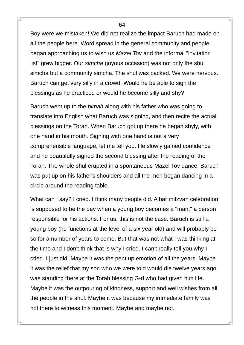Boy were we mistaken! We did not realize the impact Baruch had made on all the people here. Word spread in the general community and people began approaching us to wish us *Mazel Tov* and the informal "invitation list" grew bigger. Our *simcha* (joyous occasion) was not only the shul simcha but a community simcha. The shul was packed. We were nervous. Baruch can get very silly in a crowd. Would he be able to sign the blessings as he practiced or would he become silly and shy?

Baruch went up to the *bimah* along with his father who was going to translate into English what Baruch was signing, and then recite the actual blessings on the Torah. When Baruch got up there he began shyly, with one hand in his mouth. Signing with one hand is not a very comprehensible language, let me tell you. He slowly gained confidence and he beautifully signed the second blessing after the reading of the Torah. The whole shul erupted in a spontaneous Mazel Tov dance. Baruch was put up on his father's shoulders and all the men began dancing in a circle around the reading table.

What can I say? I cried. I think many people did. A bar mitzvah celebration is supposed to be the day when a young boy becomes a "man," a person responsible for his actions. For us, this is not the case. Baruch is still a young boy (he functions at the level of a six year old) and will probably be so for a number of years to come. But that was not what I was thinking at the time and I don't think that is why I cried. I can't really tell you why I cried. I just did. Maybe it was the pent up emotion of all the years. Maybe it was the relief that my son who we were told would die twelve years ago, was standing there at the Torah blessing G-d who had given him life. Maybe it was the outpouring of kindness, support and well wishes from all the people in the shul. Maybe it was because my immediate family was not there to witness this moment. Maybe and maybe not.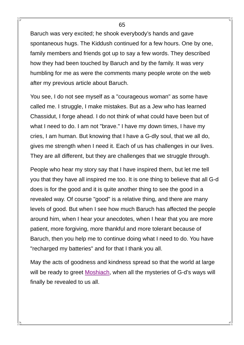Baruch was very excited; he shook everybody's hands and gave spontaneous hugs. The Kiddush continued for a few hours. One by one, family members and friends got up to say a few words. They described how they had been touched by Baruch and by the family. It was very humbling for me as were the comments many people wrote on the web after my previous article about Baruch.

You see, I do not see myself as a "courageous woman" as some have called me. I struggle, I make mistakes. But as a Jew who has learned Chassidut, I forge ahead. I do not think of what could have been but of what I need to do. I am not "brave." I have my down times, I have my cries, I am human. But knowing that I have a G-dly soul, that we all do, gives me strength when I need it. Each of us has challenges in our lives. They are all different, but they are challenges that we struggle through.

People who hear my story say that I have inspired them, but let me tell you that they have all inspired me too. It is one thing to believe that all G-d does is for the good and it is quite another thing to see the good in a revealed way. Of course "good" is a relative thing, and there are many levels of good. But when I see how much Baruch has affected the people around him, when I hear your anecdotes, when I hear that you are more patient, more forgiving, more thankful and more tolerant because of Baruch, then you help me to continue doing what I need to do. You have "recharged my batteries" and for that I thank you all.

May the acts of goodness and kindness spread so that the world at large will be ready to greet [Moshiach,](http://www.chabad.org/library/article.htm/aid/332562/jewish/Moshiach.html) when all the mysteries of G-d's ways will finally be revealed to us all.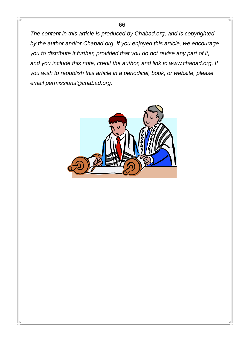*The content in this article is produced by Chabad.org, and is copyrighted by the author and/or Chabad.org. If you enjoyed this article, we encourage you to distribute it further, provided that you do not revise any part of it, and you include this note, credit the author, and link to www.chabad.org. If you wish to republish this article in a periodical, book, or website, please email permissions@chabad.org.* 

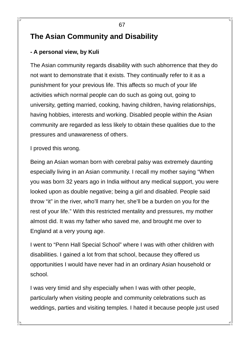#### 67

## **The Asian Community and Disability**

### **- A personal view, by Kuli**

The Asian community regards disability with such abhorrence that they do not want to demonstrate that it exists. They continually refer to it as a punishment for your previous life. This affects so much of your life activities which normal people can do such as going out, going to university, getting married, cooking, having children, having relationships, having hobbies, interests and working. Disabled people within the Asian community are regarded as less likely to obtain these qualities due to the pressures and unawareness of others.

I proved this wrong.

Being an Asian woman born with cerebral palsy was extremely daunting especially living in an Asian community. I recall my mother saying "When you was born 32 years ago in India without any medical support, you were looked upon as double negative; being a girl and disabled. People said throw "it" in the river, who'll marry her, she'll be a burden on you for the rest of your life." With this restricted mentality and pressures, my mother almost did. It was my father who saved me, and brought me over to England at a very young age.

I went to "Penn Hall Special School" where I was with other children with disabilities. I gained a lot from that school, because they offered us opportunities I would have never had in an ordinary Asian household or school.

I was very timid and shy especially when I was with other people, particularly when visiting people and community celebrations such as weddings, parties and visiting temples. I hated it because people just used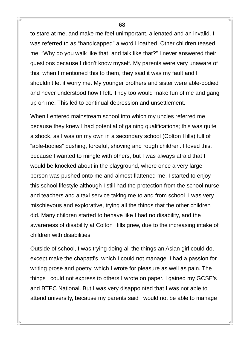to stare at me, and make me feel unimportant, alienated and an invalid. I was referred to as "handicapped" a word I loathed. Other children teased me, "Why do you walk like that, and talk like that?" I never answered their questions because I didn't know myself. My parents were very unaware of this, when I mentioned this to them, they said it was my fault and I shouldn't let it worry me. My younger brothers and sister were able-bodied and never understood how I felt. They too would make fun of me and gang up on me. This led to continual depression and unsettlement.

When I entered mainstream school into which my uncles referred me because they knew I had potential of gaining qualifications; this was quite a shock, as I was on my own in a secondary school (Colton Hills) full of "able-bodies" pushing, forceful, shoving and rough children. I loved this, because I wanted to mingle with others, but I was always afraid that I would be knocked about in the playground, where once a very large person was pushed onto me and almost flattened me. I started to enjoy this school lifestyle although I still had the protection from the school nurse and teachers and a taxi service taking me to and from school. I was very mischievous and explorative, trying all the things that the other children did. Many children started to behave like I had no disability, and the awareness of disability at Colton Hills grew, due to the increasing intake of children with disabilities.

Outside of school, I was trying doing all the things an Asian girl could do, except make the chapatti's, which I could not manage. I had a passion for writing prose and poetry, which I wrote for pleasure as well as pain. The things I could not express to others I wrote on paper. I gained my GCSE's and BTEC National. But I was very disappointed that I was not able to attend university, because my parents said I would not be able to manage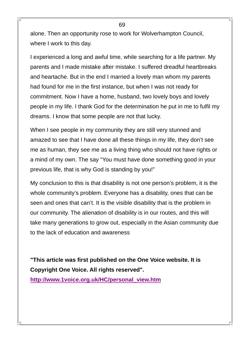alone. Then an opportunity rose to work for Wolverhampton Council, where I work to this day.

I experienced a long and awful time, while searching for a life partner. My parents and I made mistake after mistake. I suffered dreadful heartbreaks and heartache. But in the end I married a lovely man whom my parents had found for me in the first instance, but when I was not ready for commitment. Now I have a home, husband, two lovely boys and lovely people in my life. I thank God for the determination he put in me to fulfil my dreams. I know that some people are not that lucky.

When I see people in my community they are still very stunned and amazed to see that I have done all these things in my life, they don't see me as human, they see me as a living thing who should not have rights or a mind of my own. The say "You must have done something good in your previous life, that is why God is standing by you!"

My conclusion to this is that disability is not one person's problem, it is the whole community's problem. Everyone has a disability, ones that can be seen and ones that can't. It is the visible disability that is the problem in our community. The alienation of disability is in our routes, and this will take many generations to grow out, especially in the Asian community due to the lack of education and awareness

**"This article was first published on the One Voice website. It is Copyright One Voice. All rights reserved".** 

**[http://www.1voice.org.uk/HC/personal\\_view.htm](http://www.1voice.org.uk/HC/personal_view.htm)**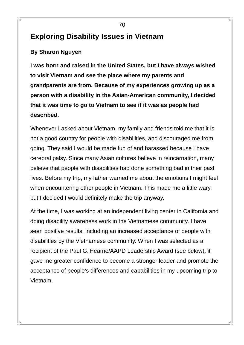## **Exploring Disability Issues in Vietnam**

### **By Sharon Nguyen**

**I was born and raised in the United States, but I have always wished to visit Vietnam and see the place where my parents and grandparents are from. Because of my experiences growing up as a person with a disability in the Asian-American community, I decided that it was time to go to Vietnam to see if it was as people had described.** 

Whenever I asked about Vietnam, my family and friends told me that it is not a good country for people with disabilities, and discouraged me from going. They said I would be made fun of and harassed because I have cerebral palsy. Since many Asian cultures believe in reincarnation, many believe that people with disabilities had done something bad in their past lives. Before my trip, my father warned me about the emotions I might feel when encountering other people in Vietnam. This made me a little wary, but I decided I would definitely make the trip anyway.

At the time, I was working at an independent living center in California and doing disability awareness work in the Vietnamese community. I have seen positive results, including an increased acceptance of people with disabilities by the Vietnamese community. When I was selected as a recipient of the Paul G. Hearne/AAPD Leadership Award (see below), it gave me greater confidence to become a stronger leader and promote the acceptance of people's differences and capabilities in my upcoming trip to Vietnam.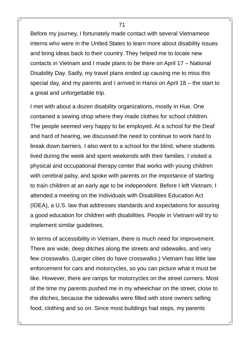Before my journey, I fortunately made contact with several Vietnamese interns who were in the United States to learn more about disability issues and bring ideas back to their country. They helped me to locate new contacts in Vietnam and I made plans to be there on April 17 – National Disability Day. Sadly, my travel plans ended up causing me to miss this special day, and my parents and I arrived in Hanoi on April 18 – the start to a great and unforgettable trip.

I met with about a dozen disability organizations, mostly in Hue. One contained a sewing shop where they made clothes for school children. The people seemed very happy to be employed. At a school for the Deaf and hard of hearing, we discussed the need to continue to work hard to break down barriers. I also went to a school for the blind, where students lived during the week and spent weekends with their families. I visited a physical and occupational therapy center that works with young children with cerebral palsy, and spoke with parents on the importance of starting to train children at an early age to be independent. Before I left Vietnam, I attended a meeting on the Individuals with Disabilities Education Act (IDEA), a U.S. law that addresses standards and expectations for assuring a good education for children with disabilities. People in Vietnam will try to implement similar guidelines.

In terms of accessibility in Vietnam, there is much need for improvement. There are wide, deep ditches along the streets and sidewalks, and very few crosswalks. (Larger cities do have crosswalks.) Vietnam has little law enforcement for cars and motorcycles, so you can picture what it must be like. However, there are ramps for motorcycles on the street corners. Most of the time my parents pushed me in my wheelchair on the street, close to the ditches, because the sidewalks were filled with store owners selling food, clothing and so on. Since most buildings had steps, my parents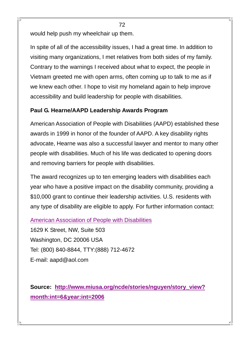would help push my wheelchair up them.

In spite of all of the accessibility issues, I had a great time. In addition to visiting many organizations, I met relatives from both sides of my family. Contrary to the warnings I received about what to expect, the people in Vietnam greeted me with open arms, often coming up to talk to me as if we knew each other. I hope to visit my homeland again to help improve accessibility and build leadership for people with disabilities.

#### **Paul G. Hearne/AAPD Leadership Awards Program**

American Association of People with Disabilities (AAPD) established these awards in 1999 in honor of the founder of AAPD. A key disability rights advocate, Hearne was also a successful lawyer and mentor to many other people with disabilities. Much of his life was dedicated to opening doors and removing barriers for people with disabilities.

The award recognizes up to ten emerging leaders with disabilities each year who have a positive impact on the disability community, providing a \$10,000 grant to continue their leadership activities. U.S. residents with any type of disability are eligible to apply. For further information contact:

[American Association of People with Disabilities](http://www.aapd.com/index.php)

1629 K Street, NW, Suite 503 Washington, DC 20006 USA Tel: (800) 840-8844, TTY:(888) 712-4672 E-mail: aapd@aol.com

**Source: [http://www.miusa.org/ncde/stories/nguyen/story\\_view?](http://www.miusa.org/ncde/stories/nguyen/story_view?) month:int=6&year:int=2006**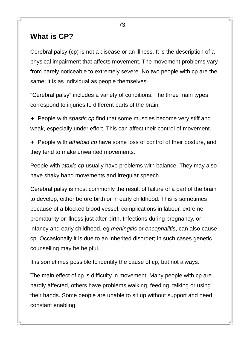### **What is CP?**

Cerebral palsy (cp) is not a disease or an illness. It is the description of a physical impairment that affects movement. The movement problems vary from barely noticeable to extremely severe. No two people with cp are the same; it is as individual as people themselves.

"Cerebral palsy" includes a variety of conditions. The three main types correspond to injuries to different parts of the brain:

 People with *spastic cp* find that some muscles become very stiff and weak, especially under effort. This can affect their control of movement.

 People with *athetoid cp* have some loss of control of their posture, and they tend to make unwanted movements.

People with *ataxic cp* usually have problems with balance. They may also have shaky hand movements and irregular speech.

Cerebral palsy is most commonly the result of failure of a part of the brain to develop, either before birth or in early childhood. This is sometimes because of a blocked blood vessel, complications in labour, extreme prematurity or illness just after birth. Infections during pregnancy, or infancy and early childhood, eg *meningitis* or *encephalitis*, can also cause cp. Occasionally it is due to an inherited disorder; in such cases genetic counselling may be helpful.

It is sometimes possible to identify the cause of cp, but not always.

The main effect of cp is difficulty in movement. Many people with cp are hardly affected, others have problems walking, feeding, talking or using their hands. Some people are unable to sit up without support and need constant enabling.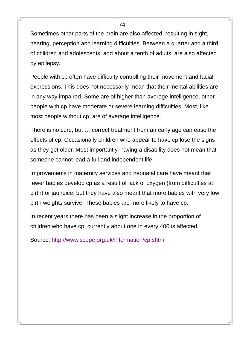Sometimes other parts of the brain are also affected, resulting in sight, hearing, perception and learning difficulties. Between a quarter and a third of children and adolescents, and about a tenth of adults, are also affected by epilepsy.

People with cp often have difficulty controlling their movement and facial expressions. This does not necessarily mean that their mental abilities are in any way impaired. Some are of higher than average intelligence, other people with cp have moderate or severe learning difficulties. Most, like most people without cp, are of average intelligence.

There is no cure, but … correct treatment from an early age can ease the effects of cp. Occasionally children who appear to have cp lose the signs as they get older. Most importantly, having a disability does not mean that someone cannot lead a full and independent life.

Improvements in maternity services and neonatal care have meant that fewer babies develop cp as a result of lack of oxygen (from difficulties at birth) or jaundice, but they have also meant that more babies with very low birth weights survive. These babies are more likely to have cp.

In recent years there has been a slight increase in the proportion of children who have cp; currently about one in every 400 is affected.

Source:<http://www.scope.org.uk/information/cp.shtml>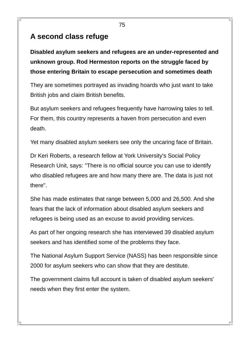# **A second class refuge**

**Disabled asylum seekers and refugees are an under-represented and unknown group. Rod Hermeston reports on the struggle faced by those entering Britain to escape persecution and sometimes death**

They are sometimes portrayed as invading hoards who just want to take British jobs and claim British benefits.

But asylum seekers and refugees frequently have harrowing tales to tell. For them, this country represents a haven from persecution and even death.

Yet many disabled asylum seekers see only the uncaring face of Britain.

Dr Keri Roberts, a research fellow at York University's Social Policy Research Unit, says: "There is no official source you can use to identify who disabled refugees are and how many there are. The data is just not there".

She has made estimates that range between 5,000 and 26,500. And she fears that the lack of information about disabled asylum seekers and refugees is being used as an excuse to avoid providing services.

As part of her ongoing research she has interviewed 39 disabled asylum seekers and has identified some of the problems they face.

The National Asylum Support Service (NASS) has been responsible since 2000 for asylum seekers who can show that they are destitute.

The government claims full account is taken of disabled asylum seekers' needs when they first enter the system.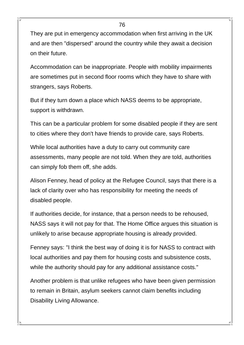They are put in emergency accommodation when first arriving in the UK and are then "dispersed" around the country while they await a decision on their future.

Accommodation can be inappropriate. People with mobility impairments are sometimes put in second floor rooms which they have to share with strangers, says Roberts.

But if they turn down a place which NASS deems to be appropriate, support is withdrawn.

This can be a particular problem for some disabled people if they are sent to cities where they don't have friends to provide care, says Roberts.

While local authorities have a duty to carry out community care assessments, many people are not told. When they are told, authorities can simply fob them off, she adds.

Alison Fenney, head of policy at the Refugee Council, says that there is a lack of clarity over who has responsibility for meeting the needs of disabled people.

If authorities decide, for instance, that a person needs to be rehoused, NASS says it will not pay for that. The Home Office argues this situation is unlikely to arise because appropriate housing is already provided.

Fenney says: "I think the best way of doing it is for NASS to contract with local authorities and pay them for housing costs and subsistence costs, while the authority should pay for any additional assistance costs."

Another problem is that unlike refugees who have been given permission to remain in Britain, asylum seekers cannot claim benefits including Disability Living Allowance.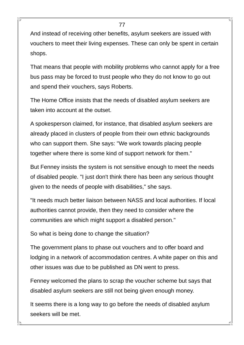And instead of receiving other benefits, asylum seekers are issued with vouchers to meet their living expenses. These can only be spent in certain shops.

That means that people with mobility problems who cannot apply for a free bus pass may be forced to trust people who they do not know to go out and spend their vouchers, says Roberts.

The Home Office insists that the needs of disabled asylum seekers are taken into account at the outset.

A spokesperson claimed, for instance, that disabled asylum seekers are already placed in clusters of people from their own ethnic backgrounds who can support them. She says: "We work towards placing people together where there is some kind of support network for them."

But Fenney insists the system is not sensitive enough to meet the needs of disabled people. "I just don't think there has been any serious thought given to the needs of people with disabilities," she says.

"It needs much better liaison between NASS and local authorities. If local authorities cannot provide, then they need to consider where the communities are which might support a disabled person."

So what is being done to change the situation?

The government plans to phase out vouchers and to offer board and lodging in a network of accommodation centres. A white paper on this and other issues was due to be published as DN went to press.

Fenney welcomed the plans to scrap the voucher scheme but says that disabled asylum seekers are still not being given enough money.

It seems there is a long way to go before the needs of disabled asylum seekers will be met.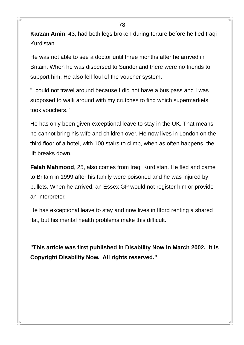**Karzan Amin**, 43, had both legs broken during torture before he fled Iraqi Kurdistan.

He was not able to see a doctor until three months after he arrived in Britain. When he was dispersed to Sunderland there were no friends to support him. He also fell foul of the voucher system.

"I could not travel around because I did not have a bus pass and I was supposed to walk around with my crutches to find which supermarkets took vouchers."

He has only been given exceptional leave to stay in the UK. That means he cannot bring his wife and children over. He now lives in London on the third floor of a hotel, with 100 stairs to climb, when as often happens, the lift breaks down.

**Falah Mahmood**, 25, also comes from Iraqi Kurdistan. He fled and came to Britain in 1999 after his family were poisoned and he was injured by bullets. When he arrived, an Essex GP would not register him or provide an interpreter.

He has exceptional leave to stay and now lives in Ilford renting a shared flat, but his mental health problems make this difficult.

**"This article was first published in Disability Now in March 2002. It is Copyright Disability Now. All rights reserved."**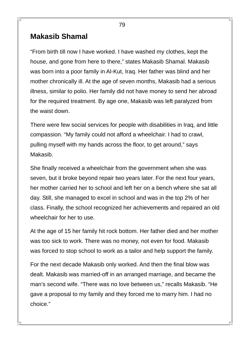#### **Makasib Shamal**

"From birth till now I have worked. I have washed my clothes, kept the house, and gone from here to there," states Makasib Shamal. Makasib was born into a poor family in Al-Kut, Iraq. Her father was blind and her mother chronically ill. At the age of seven months, Makasib had a serious illness, similar to polio. Her family did not have money to send her abroad for the required treatment. By age one, Makasib was left paralyzed from the waist down.

There were few social services for people with disabilities in Iraq, and little compassion. "My family could not afford a wheelchair. I had to crawl, pulling myself with my hands across the floor, to get around," says Makasib.

She finally received a wheelchair from the government when she was seven, but it broke beyond repair two years later. For the next four years, her mother carried her to school and left her on a bench where she sat all day. Still, she managed to excel in school and was in the top 2% of her class. Finally, the school recognized her achievements and repaired an old wheelchair for her to use.

At the age of 15 her family hit rock bottom. Her father died and her mother was too sick to work. There was no money, not even for food. Makasib was forced to stop school to work as a tailor and help support the family.

For the next decade Makasib only worked. And then the final blow was dealt. Makasib was married-off in an arranged marriage, and became the man's second wife. "There was no love between us," recalls Makasib. "He gave a proposal to my family and they forced me to marry him. I had no choice."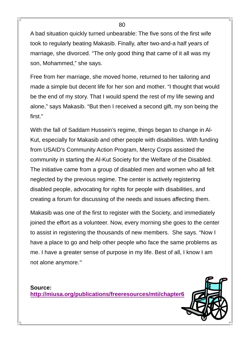A bad situation quickly turned unbearable: The five sons of the first wife took to regularly beating Makasib. Finally, after two-and-a half years of marriage, she divorced. "The only good thing that came of it all was my son, Mohammed," she says.

Free from her marriage, she moved home, returned to her tailoring and made a simple but decent life for her son and mother. "I thought that would be the end of my story. That I would spend the rest of my life sewing and alone," says Makasib. "But then I received a second gift, my son being the first"

With the fall of Saddam Hussein's regime, things began to change in Al-Kut, especially for Makasib and other people with disabilities. With funding from USAID's Community Action Program, Mercy Corps assisted the community in starting the Al-Kut Society for the Welfare of the Disabled. The initiative came from a group of disabled men and women who all felt neglected by the previous regime. The center is actively registering disabled people, advocating for rights for people with disabilities, and creating a forum for discussing of the needs and issues affecting them.

Makasib was one of the first to register with the Society, and immediately joined the effort as a volunteer. Now, every morning she goes to the center to assist in registering the thousands of new members. She says. "Now I have a place to go and help other people who face the same problems as me. I have a greater sense of purpose in my life. Best of all, I know I am not alone anymore."

**Source: <http://miusa.org/publications/freeresources/mti/chapter6>**

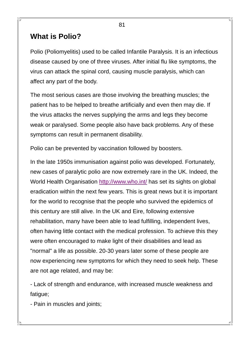# **What is Polio?**

Polio (Poliomyelitis) used to be called Infantile Paralysis. It is an infectious disease caused by one of three viruses. After initial flu like symptoms, the virus can attack the spinal cord, causing muscle paralysis, which can affect any part of the body.

The most serious cases are those involving the breathing muscles; the patient has to be helped to breathe artificially and even then may die. If the virus attacks the nerves supplying the arms and legs they become weak or paralysed. Some people also have back problems. Any of these symptoms can result in permanent disability.

Polio can be prevented by vaccination followed by boosters.

In the late 1950s immunisation against polio was developed. Fortunately, new cases of paralytic polio are now extremely rare in the UK. Indeed, the World Health Organisation <http://www.who.int/> has set its sights on global eradication within the next few years. This is great news but it is important for the world to recognise that the people who survived the epidemics of this century are still alive. In the UK and Eire, following extensive rehabilitation, many have been able to lead fulfilling, independent lives, often having little contact with the medical profession. To achieve this they were often encouraged to make light of their disabilities and lead as "normal" a life as possible. 20-30 years later some of these people are now experiencing new symptoms for which they need to seek help. These are not age related, and may be:

- Lack of strength and endurance, with increased muscle weakness and fatigue;

- Pain in muscles and joints;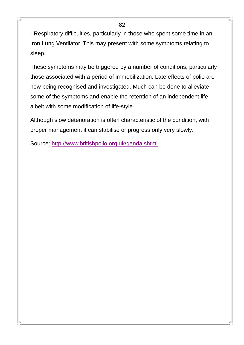- Respiratory difficulties, particularly in those who spent some time in an Iron Lung Ventilator. This may present with some symptoms relating to sleep.

These symptoms may be triggered by a number of conditions, particularly those associated with a period of immobilization. Late effects of polio are now being recognised and investigated. Much can be done to alleviate some of the symptoms and enable the retention of an independent life, albeit with some modification of life-style.

Although slow deterioration is often characteristic of the condition, with proper management it can stabilise or progress only very slowly.

Source:<http://www.britishpolio.org.uk/qanda.shtml>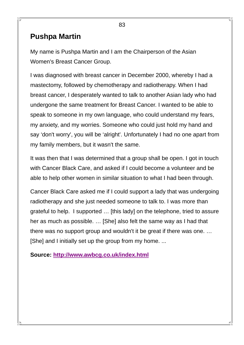# **Pushpa Martin**

My name is Pushpa Martin and I am the Chairperson of the Asian Women's Breast Cancer Group.

I was diagnosed with breast cancer in December 2000, whereby I had a mastectomy, followed by chemotherapy and radiotherapy. When I had breast cancer, I desperately wanted to talk to another Asian lady who had undergone the same treatment for Breast Cancer. I wanted to be able to speak to someone in my own language, who could understand my fears, my anxiety, and my worries. Someone who could just hold my hand and say 'don't worry', you will be 'alright'. Unfortunately I had no one apart from my family members, but it wasn't the same.

It was then that I was determined that a group shall be open. I got in touch with Cancer Black Care, and asked if I could become a volunteer and be able to help other women in similar situation to what I had been through.

Cancer Black Care asked me if I could support a lady that was undergoing radiotherapy and she just needed someone to talk to. I was more than grateful to help. I supported … [this lady] on the telephone, tried to assure her as much as possible. … [She] also felt the same way as I had that there was no support group and wouldn't it be great if there was one. … [She] and I initially set up the group from my home. ...

**Source: <http://www.awbcg.co.uk/index.html>**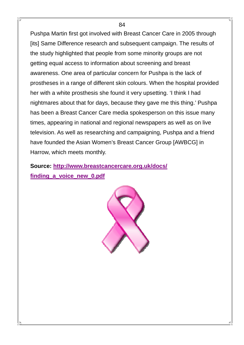Pushpa Martin first got involved with Breast Cancer Care in 2005 through [its] Same Difference research and subsequent campaign. The results of the study highlighted that people from some minority groups are not getting equal access to information about screening and breast awareness. One area of particular concern for Pushpa is the lack of prostheses in a range of different skin colours. When the hospital provided her with a white prosthesis she found it very upsetting. 'I think I had nightmares about that for days, because they gave me this thing.' Pushpa has been a Breast Cancer Care media spokesperson on this issue many times, appearing in national and regional newspapers as well as on live television. As well as researching and campaigning, Pushpa and a friend have founded the Asian Women's Breast Cancer Group [AWBCG] in Harrow, which meets monthly.

**Source[: h](http://www.breastcancercare.org.uk/docs/finding_a_voice_new_0.pdf)[ttp://www.breastcancercare.org.uk/docs/](http://www.breastcancercare.org.uk/docs/) finding\_a\_voice\_new\_0.pdf**

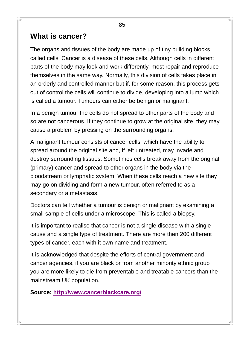### **What is cancer?**

The organs and tissues of the body are made up of tiny building blocks called cells. Cancer is a disease of these cells. Although cells in different parts of the body may look and work differently, most repair and reproduce themselves in the same way. Normally, this division of cells takes place in an orderly and controlled manner but if, for some reason, this process gets out of control the cells will continue to divide, developing into a lump which is called a tumour. Tumours can either be benign or malignant.

In a benign tumour the cells do not spread to other parts of the body and so are not cancerous. If they continue to grow at the original site, they may cause a problem by pressing on the surrounding organs.

A malignant tumour consists of cancer cells, which have the ability to spread around the original site and, if left untreated, may invade and destroy surrounding tissues. Sometimes cells break away from the original (primary) cancer and spread to other organs in the body via the bloodstream or lymphatic system. When these cells reach a new site they may go on dividing and form a new tumour, often referred to as a secondary or a metastasis.

Doctors can tell whether a tumour is benign or malignant by examining a small sample of cells under a microscope. This is called a biopsy.

It is important to realise that cancer is not a single disease with a single cause and a single type of treatment. There are more then 200 different types of cancer, each with it own name and treatment.

It is acknowledged that despite the efforts of central government and cancer agencies, if you are black or from another minority ethnic group you are more likely to die from preventable and treatable cancers than the mainstream UK population.

**Source: [http://www.cancerblackcare.org/](http://www.cancerblackcare.org/whatiscancer.htm)**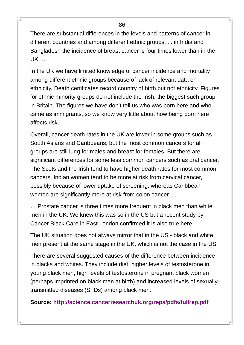There are substantial differences in the levels and patterns of cancer in different countries and among different ethnic groups. ... in India and Bangladesh the incidence of breast cancer is four times lower than in the UK …

In the UK we have limited knowledge of cancer incidence and mortality among different ethnic groups because of lack of relevant data on ethnicity. Death certificates record country of birth but not ethnicity. Figures for ethnic minority groups do not include the Irish, the biggest such group in Britain. The figures we have don't tell us who was born here and who came as immigrants, so we know very little about how being born here affects risk.

Overall, cancer death rates in the UK are lower in some groups such as South Asians and Caribbeans, but the most common cancers for all groups are still lung for males and breast for females. But there are significant differences for some less common cancers such as oral cancer. The Scots and the Irish tend to have higher death rates for most common cancers. Indian women tend to be more at risk from cervical cancer, possibly because of lower uptake of screening, whereas Caribbean women are significantly more at risk from colon cancer. ...

… Prostate cancer is three times more frequent in black men than white men in the UK. We knew this was so in the US but a recent study by Cancer Black Care in East London confirmed it is also true here.

The UK situation does not always mirror that in the US - black and white men present at the same stage in the UK, which is not the case in the US.

There are several suggested causes of the difference between incidence in blacks and whites. They include diet, higher levels of testosterone in young black men, high levels of testosterone in pregnant black women (perhaps imprinted on black men at birth) and increased levels of sexuallytransmitted diseases (STDs) among black men.

**Source: <http://science.cancerresearchuk.org/reps/pdfs/fullrep.pdf>**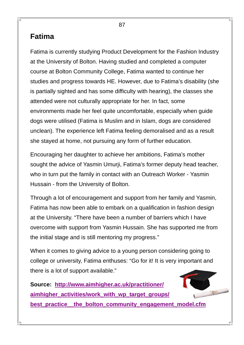# **Fatima**

Fatima is currently studying Product Development for the Fashion Industry at the University of Bolton. Having studied and completed a computer course at Bolton Community College, Fatima wanted to continue her studies and progress towards HE. However, due to Fatima's disability (she is partially sighted and has some difficulty with hearing), the classes she attended were not culturally appropriate for her. In fact, some environments made her feel quite uncomfortable, especially when guide dogs were utilised (Fatima is Muslim and in Islam, dogs are considered unclean). The experience left Fatima feeling demoralised and as a result she stayed at home, not pursuing any form of further education.

Encouraging her daughter to achieve her ambitions, Fatima's mother sought the advice of Yasmin Umurji, Fatima's former deputy head teacher, who in turn put the family in contact with an Outreach Worker - Yasmin Hussain - from the University of Bolton.

Through a lot of encouragement and support from her family and Yasmin, Fatima has now been able to embark on a qualification in fashion design at the University. "There have been a number of barriers which I have overcome with support from Yasmin Hussain. She has supported me from the initial stage and is still mentoring my progress."

When it comes to giving advice to a young person considering going to college or university, Fatima enthuses: "Go for it! It is very important and there is a lot of support available."

**Source: <http://www.aimhigher.ac.uk/practitioner/> aimhigher\_activities/work\_with\_wp\_target\_groups/ [best\\_practice\\_\\_the\\_bolton\\_community\\_engagement\\_model.cfm](http://www.aimhigher.ac.uk/practitioner/aimhigher_activities/work_with_wp_target_groups/best_practice__the_bolton_community_engagement_model.cfm)**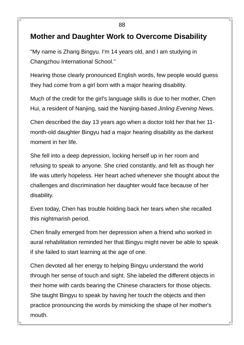88

# **Mother and Daughter Work to Overcome Disability**

"My name is Zhang Bingyu. I'm 14 years old, and I am studying in Changzhou International School."

Hearing those clearly pronounced English words, few people would guess they had come from a girl born with a major hearing disability.

Much of the credit for the girl's language skills is due to her mother, Chen Hui, a resident of Nanjing, said the Nanjing-based *Jinling Evening News*.

Chen described the day 13 years ago when a doctor told her that her 11 month-old daughter Bingyu had a major hearing disability as the darkest moment in her life.

She fell into a deep depression, locking herself up in her room and refusing to speak to anyone. She cried constantly, and felt as though her life was utterly hopeless. Her heart ached whenever she thought about the challenges and discrimination her daughter would face because of her disability.

Even today, Chen has trouble holding back her tears when she recalled this nightmarish period.

Chen finally emerged from her depression when a friend who worked in aural rehabilitation reminded her that Bingyu might never be able to speak if she failed to start learning at the age of one.

Chen devoted all her energy to helping Bingyu understand the world through her sense of touch and sight. She labeled the different objects in their home with cards bearing the Chinese characters for those objects. She taught Bingyu to speak by having her touch the objects and then practice pronouncing the words by mimicking the shape of her mother's mouth.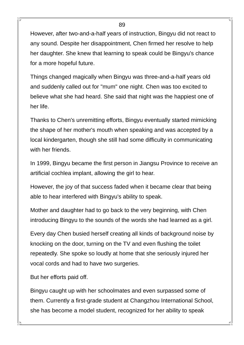However, after two-and-a-half years of instruction, Bingyu did not react to any sound. Despite her disappointment, Chen firmed her resolve to help her daughter. She knew that learning to speak could be Bingyu's chance for a more hopeful future.

Things changed magically when Bingyu was three-and-a-half years old and suddenly called out for "mum" one night. Chen was too excited to believe what she had heard. She said that night was the happiest one of her life.

Thanks to Chen's unremitting efforts, Bingyu eventually started mimicking the shape of her mother's mouth when speaking and was accepted by a local kindergarten, though she still had some difficulty in communicating with her friends.

In 1999, Bingyu became the first person in Jiangsu Province to receive an artificial cochlea implant, allowing the girl to hear.

However, the joy of that success faded when it became clear that being able to hear interfered with Bingyu's ability to speak.

Mother and daughter had to go back to the very beginning, with Chen introducing Bingyu to the sounds of the words she had learned as a girl.

Every day Chen busied herself creating all kinds of background noise by knocking on the door, turning on the TV and even flushing the toilet repeatedly. She spoke so loudly at home that she seriously injured her vocal cords and had to have two surgeries.

But her efforts paid off.

Bingyu caught up with her schoolmates and even surpassed some of them. Currently a first-grade student at Changzhou International School, she has become a model student, recognized for her ability to speak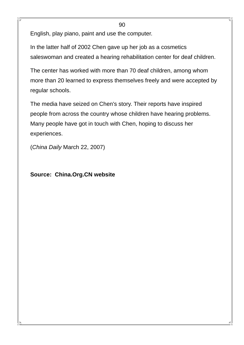90

English, play piano, paint and use the computer.

In the latter half of 2002 Chen gave up her job as a cosmetics saleswoman and created a hearing rehabilitation center for deaf children.

The center has worked with more than 70 deaf children, among whom more than 20 learned to express themselves freely and were accepted by regular schools.

The media have seized on Chen's story. Their reports have inspired people from across the country whose children have hearing problems. Many people have got in touch with Chen, hoping to discuss her experiences.

(*China Daily* March 22, 2007)

#### **Source: China.Org.CN website**